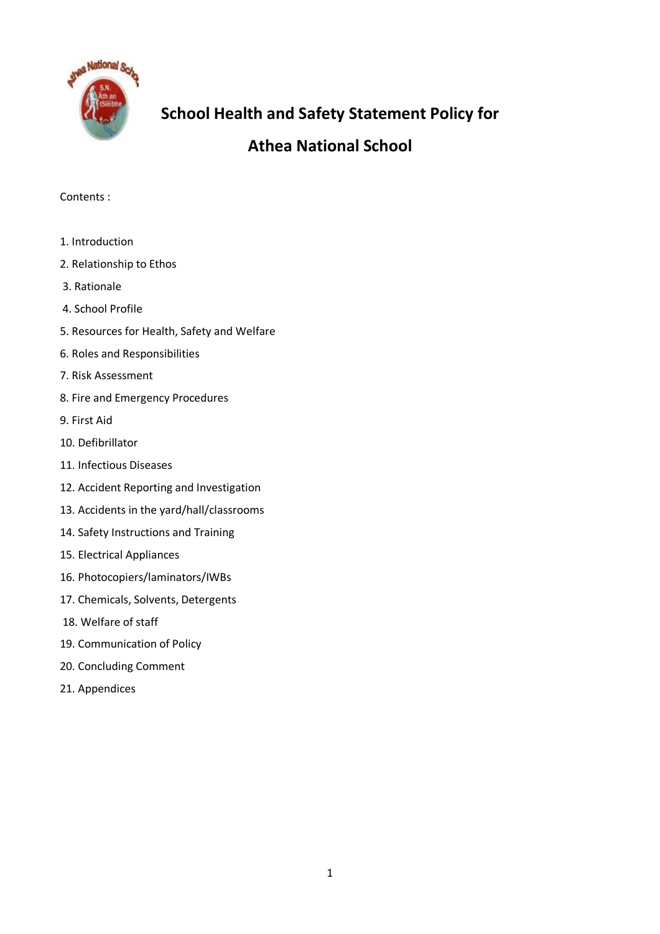

# **School Health and Safety Statement Policy for**

# **Athea National School**

## Contents :

- 1. Introduction
- 2. Relationship to Ethos
- 3. Rationale
- 4. School Profile
- 5. Resources for Health, Safety and Welfare
- 6. Roles and Responsibilities
- 7. Risk Assessment
- 8. Fire and Emergency Procedures
- 9. First Aid
- 10. Defibrillator
- 11. Infectious Diseases
- 12. Accident Reporting and Investigation
- 13. Accidents in the yard/hall/classrooms
- 14. Safety Instructions and Training
- 15. Electrical Appliances
- 16. Photocopiers/laminators/IWBs
- 17. Chemicals, Solvents, Detergents
- 18. Welfare of staff
- 19. Communication of Policy
- 20. Concluding Comment
- 21. Appendices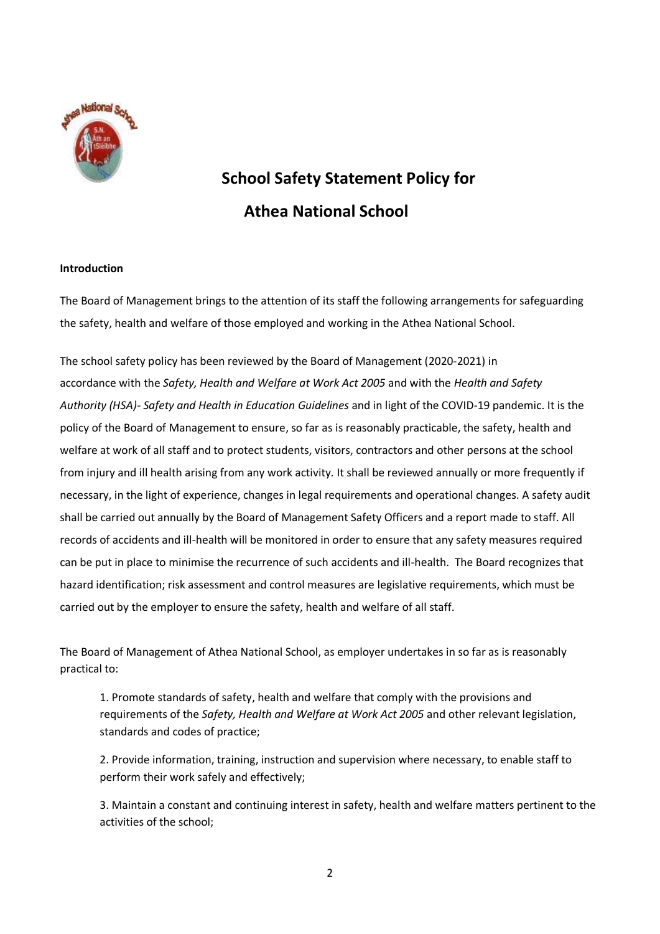

# **School Safety Statement Policy for Athea National School**

## **Introduction**

The Board of Management brings to the attention of its staff the following arrangements for safeguarding the safety, health and welfare of those employed and working in the Athea National School.

The school safety policy has been reviewed by the Board of Management (2020-2021) in accordance with the *Safety, Health and Welfare at Work Act 2005* and with the *Health and Safety Authority (HSA)- Safety and Health in Education Guidelines* and in light of the COVID-19 pandemic. It is the policy of the Board of Management to ensure, so far as is reasonably practicable, the safety, health and welfare at work of all staff and to protect students, visitors, contractors and other persons at the school from injury and ill health arising from any work activity. It shall be reviewed annually or more frequently if necessary, in the light of experience, changes in legal requirements and operational changes. A safety audit shall be carried out annually by the Board of Management Safety Officers and a report made to staff. All records of accidents and ill-health will be monitored in order to ensure that any safety measures required can be put in place to minimise the recurrence of such accidents and ill-health. The Board recognizes that hazard identification; risk assessment and control measures are legislative requirements, which must be carried out by the employer to ensure the safety, health and welfare of all staff.

The Board of Management of Athea National School, as employer undertakes in so far as is reasonably practical to:

1. Promote standards of safety, health and welfare that comply with the provisions and requirements of the *Safety, Health and Welfare at Work Act 2005* and other relevant legislation, standards and codes of practice;

2. Provide information, training, instruction and supervision where necessary, to enable staff to perform their work safely and effectively;

3. Maintain a constant and continuing interest in safety, health and welfare matters pertinent to the activities of the school;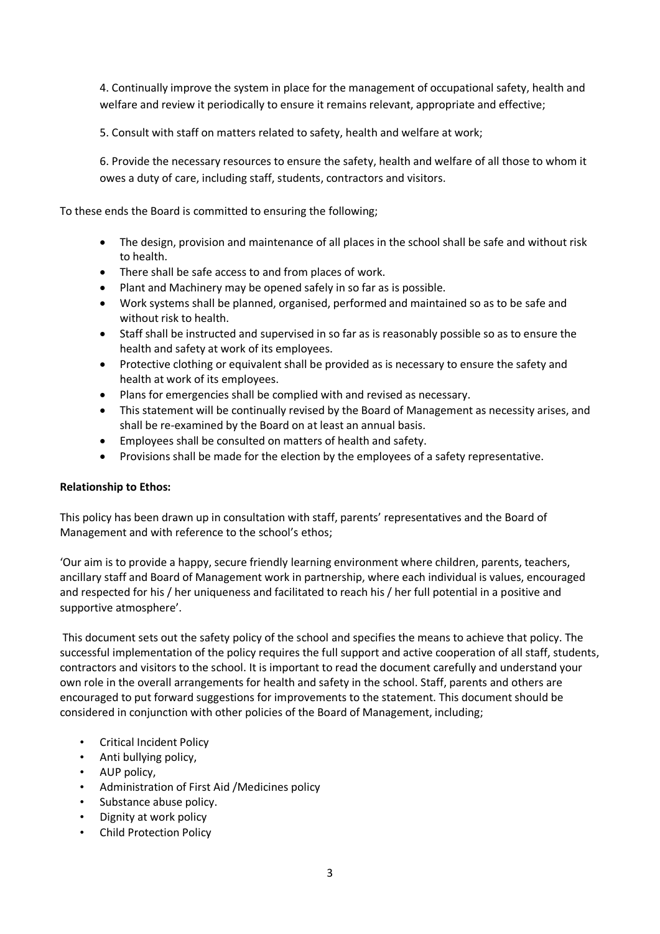4. Continually improve the system in place for the management of occupational safety, health and welfare and review it periodically to ensure it remains relevant, appropriate and effective;

5. Consult with staff on matters related to safety, health and welfare at work;

6. Provide the necessary resources to ensure the safety, health and welfare of all those to whom it owes a duty of care, including staff, students, contractors and visitors.

To these ends the Board is committed to ensuring the following;

- The design, provision and maintenance of all places in the school shall be safe and without risk to health.
- There shall be safe access to and from places of work.
- Plant and Machinery may be opened safely in so far as is possible.
- Work systems shall be planned, organised, performed and maintained so as to be safe and without risk to health.
- Staff shall be instructed and supervised in so far as is reasonably possible so as to ensure the health and safety at work of its employees.
- Protective clothing or equivalent shall be provided as is necessary to ensure the safety and health at work of its employees.
- Plans for emergencies shall be complied with and revised as necessary.
- This statement will be continually revised by the Board of Management as necessity arises, and shall be re-examined by the Board on at least an annual basis.
- Employees shall be consulted on matters of health and safety.
- Provisions shall be made for the election by the employees of a safety representative.

## **Relationship to Ethos:**

This policy has been drawn up in consultation with staff, parents' representatives and the Board of Management and with reference to the school's ethos;

'Our aim is to provide a happy, secure friendly learning environment where children, parents, teachers, ancillary staff and Board of Management work in partnership, where each individual is values, encouraged and respected for his / her uniqueness and facilitated to reach his / her full potential in a positive and supportive atmosphere'.

This document sets out the safety policy of the school and specifies the means to achieve that policy. The successful implementation of the policy requires the full support and active cooperation of all staff, students, contractors and visitors to the school. It is important to read the document carefully and understand your own role in the overall arrangements for health and safety in the school. Staff, parents and others are encouraged to put forward suggestions for improvements to the statement. This document should be considered in conjunction with other policies of the Board of Management, including;

- Critical Incident Policy
- Anti bullying policy,
- AUP policy,
- Administration of First Aid /Medicines policy
- Substance abuse policy.
- Dignity at work policy
- Child Protection Policy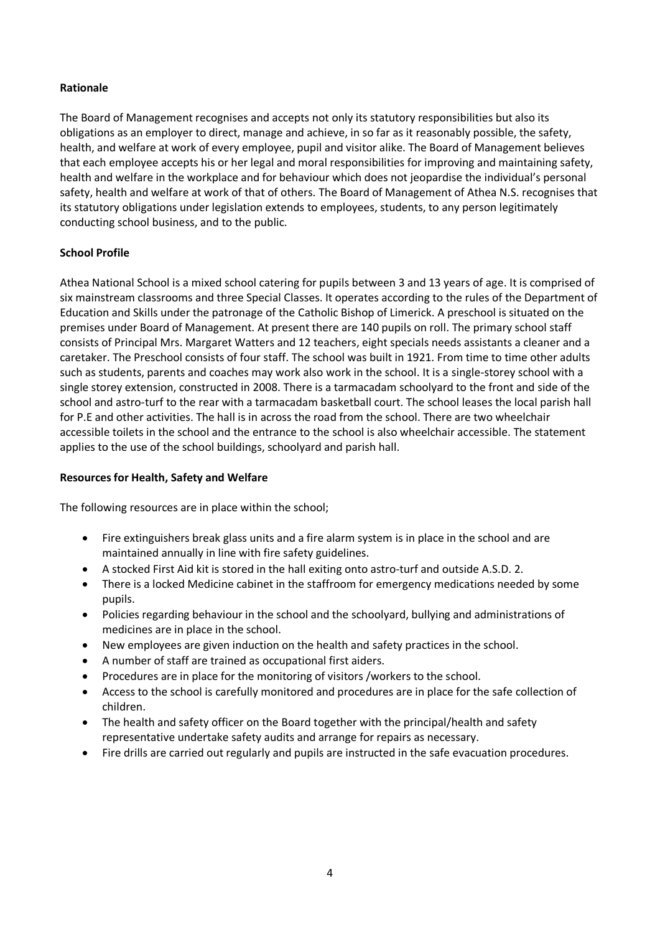## **Rationale**

The Board of Management recognises and accepts not only its statutory responsibilities but also its obligations as an employer to direct, manage and achieve, in so far as it reasonably possible, the safety, health, and welfare at work of every employee, pupil and visitor alike. The Board of Management believes that each employee accepts his or her legal and moral responsibilities for improving and maintaining safety, health and welfare in the workplace and for behaviour which does not jeopardise the individual's personal safety, health and welfare at work of that of others. The Board of Management of Athea N.S. recognises that its statutory obligations under legislation extends to employees, students, to any person legitimately conducting school business, and to the public.

## **School Profile**

Athea National School is a mixed school catering for pupils between 3 and 13 years of age. It is comprised of six mainstream classrooms and three Special Classes. It operates according to the rules of the Department of Education and Skills under the patronage of the Catholic Bishop of Limerick. A preschool is situated on the premises under Board of Management. At present there are 140 pupils on roll. The primary school staff consists of Principal Mrs. Margaret Watters and 12 teachers, eight specials needs assistants a cleaner and a caretaker. The Preschool consists of four staff. The school was built in 1921. From time to time other adults such as students, parents and coaches may work also work in the school. It is a single-storey school with a single storey extension, constructed in 2008. There is a tarmacadam schoolyard to the front and side of the school and astro-turf to the rear with a tarmacadam basketball court. The school leases the local parish hall for P.E and other activities. The hall is in across the road from the school. There are two wheelchair accessible toilets in the school and the entrance to the school is also wheelchair accessible. The statement applies to the use of the school buildings, schoolyard and parish hall.

## **Resources for Health, Safety and Welfare**

The following resources are in place within the school;

- Fire extinguishers break glass units and a fire alarm system is in place in the school and are maintained annually in line with fire safety guidelines.
- A stocked First Aid kit is stored in the hall exiting onto astro-turf and outside A.S.D. 2.
- There is a locked Medicine cabinet in the staffroom for emergency medications needed by some pupils.
- Policies regarding behaviour in the school and the schoolyard, bullying and administrations of medicines are in place in the school.
- New employees are given induction on the health and safety practices in the school.
- A number of staff are trained as occupational first aiders.
- Procedures are in place for the monitoring of visitors /workers to the school.
- Access to the school is carefully monitored and procedures are in place for the safe collection of children.
- The health and safety officer on the Board together with the principal/health and safety representative undertake safety audits and arrange for repairs as necessary.
- Fire drills are carried out regularly and pupils are instructed in the safe evacuation procedures.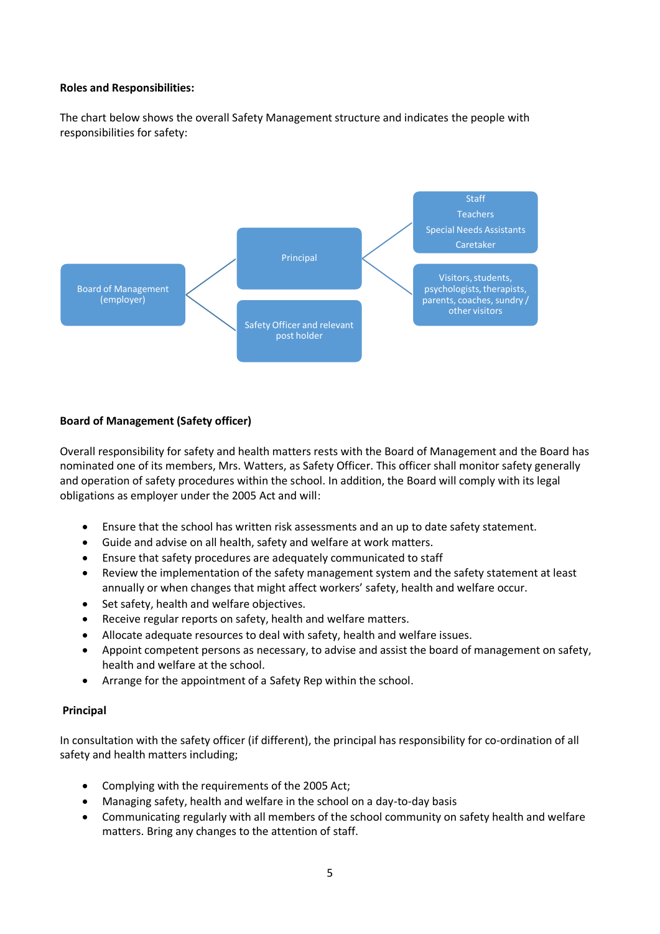#### **Roles and Responsibilities:**

The chart below shows the overall Safety Management structure and indicates the people with responsibilities for safety:



## **Board of Management (Safety officer)**

Overall responsibility for safety and health matters rests with the Board of Management and the Board has nominated one of its members, Mrs. Watters, as Safety Officer. This officer shall monitor safety generally and operation of safety procedures within the school. In addition, the Board will comply with its legal obligations as employer under the 2005 Act and will:

- Ensure that the school has written risk assessments and an up to date safety statement.
- Guide and advise on all health, safety and welfare at work matters.
- Ensure that safety procedures are adequately communicated to staff
- Review the implementation of the safety management system and the safety statement at least annually or when changes that might affect workers' safety, health and welfare occur.
- Set safety, health and welfare objectives.
- Receive regular reports on safety, health and welfare matters.
- Allocate adequate resources to deal with safety, health and welfare issues.
- Appoint competent persons as necessary, to advise and assist the board of management on safety, health and welfare at the school.
- Arrange for the appointment of a Safety Rep within the school.

#### **Principal**

In consultation with the safety officer (if different), the principal has responsibility for co-ordination of all safety and health matters including;

- Complying with the requirements of the 2005 Act;
- Managing safety, health and welfare in the school on a day-to-day basis
- Communicating regularly with all members of the school community on safety health and welfare matters. Bring any changes to the attention of staff.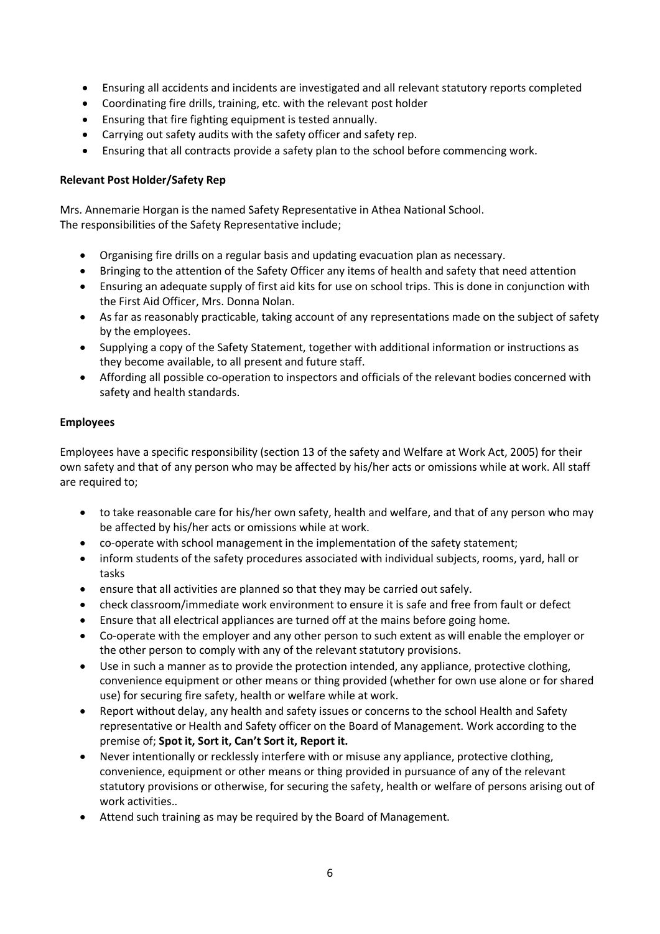- Ensuring all accidents and incidents are investigated and all relevant statutory reports completed
- Coordinating fire drills, training, etc. with the relevant post holder
- Ensuring that fire fighting equipment is tested annually.
- Carrying out safety audits with the safety officer and safety rep.
- Ensuring that all contracts provide a safety plan to the school before commencing work.

## **Relevant Post Holder/Safety Rep**

Mrs. Annemarie Horgan is the named Safety Representative in Athea National School. The responsibilities of the Safety Representative include;

- Organising fire drills on a regular basis and updating evacuation plan as necessary.
- Bringing to the attention of the Safety Officer any items of health and safety that need attention
- Ensuring an adequate supply of first aid kits for use on school trips. This is done in conjunction with the First Aid Officer, Mrs. Donna Nolan.
- As far as reasonably practicable, taking account of any representations made on the subject of safety by the employees.
- Supplying a copy of the Safety Statement, together with additional information or instructions as they become available, to all present and future staff.
- Affording all possible co-operation to inspectors and officials of the relevant bodies concerned with safety and health standards.

## **Employees**

Employees have a specific responsibility (section 13 of the safety and Welfare at Work Act, 2005) for their own safety and that of any person who may be affected by his/her acts or omissions while at work. All staff are required to;

- to take reasonable care for his/her own safety, health and welfare, and that of any person who may be affected by his/her acts or omissions while at work.
- co-operate with school management in the implementation of the safety statement;
- inform students of the safety procedures associated with individual subjects, rooms, yard, hall or tasks
- ensure that all activities are planned so that they may be carried out safely.
- check classroom/immediate work environment to ensure it is safe and free from fault or defect
- Ensure that all electrical appliances are turned off at the mains before going home.
- Co-operate with the employer and any other person to such extent as will enable the employer or the other person to comply with any of the relevant statutory provisions.
- Use in such a manner as to provide the protection intended, any appliance, protective clothing, convenience equipment or other means or thing provided (whether for own use alone or for shared use) for securing fire safety, health or welfare while at work.
- Report without delay, any health and safety issues or concerns to the school Health and Safety representative or Health and Safety officer on the Board of Management. Work according to the premise of; **Spot it, Sort it, Can't Sort it, Report it.**
- Never intentionally or recklessly interfere with or misuse any appliance, protective clothing, convenience, equipment or other means or thing provided in pursuance of any of the relevant statutory provisions or otherwise, for securing the safety, health or welfare of persons arising out of work activities..
- Attend such training as may be required by the Board of Management.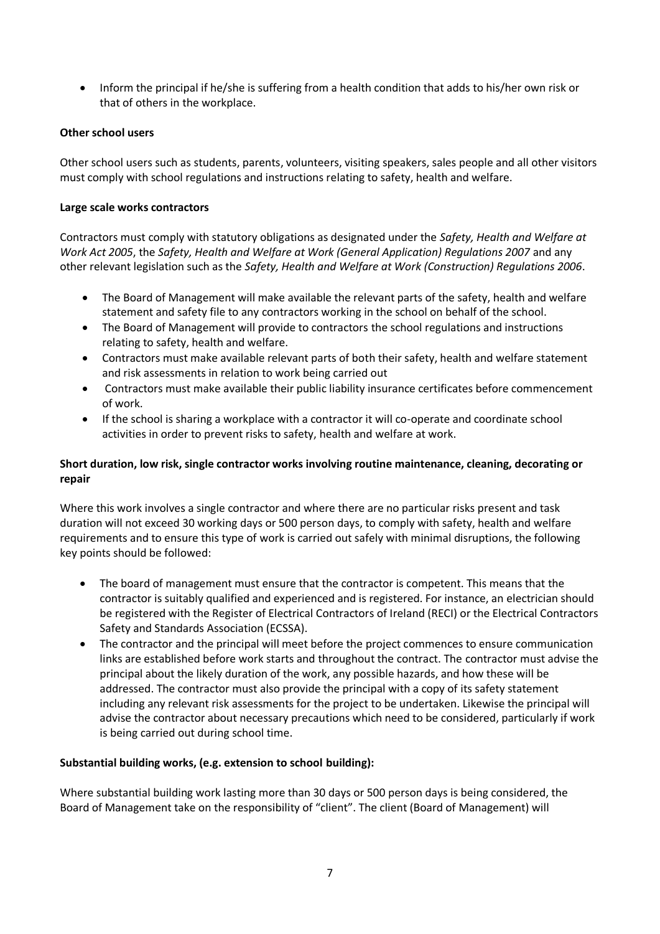Inform the principal if he/she is suffering from a health condition that adds to his/her own risk or that of others in the workplace.

## **Other school users**

Other school users such as students, parents, volunteers, visiting speakers, sales people and all other visitors must comply with school regulations and instructions relating to safety, health and welfare.

## **Large scale works contractors**

Contractors must comply with statutory obligations as designated under the *Safety, Health and Welfare at Work Act 2005*, the *Safety, Health and Welfare at Work (General Application) Regulations 2007* and any other relevant legislation such as the *Safety, Health and Welfare at Work (Construction) Regulations 2006*.

- The Board of Management will make available the relevant parts of the safety, health and welfare statement and safety file to any contractors working in the school on behalf of the school.
- The Board of Management will provide to contractors the school regulations and instructions relating to safety, health and welfare.
- Contractors must make available relevant parts of both their safety, health and welfare statement and risk assessments in relation to work being carried out
- Contractors must make available their public liability insurance certificates before commencement of work.
- If the school is sharing a workplace with a contractor it will co-operate and coordinate school activities in order to prevent risks to safety, health and welfare at work.

## **Short duration, low risk, single contractor works involving routine maintenance, cleaning, decorating or repair**

Where this work involves a single contractor and where there are no particular risks present and task duration will not exceed 30 working days or 500 person days, to comply with safety, health and welfare requirements and to ensure this type of work is carried out safely with minimal disruptions, the following key points should be followed:

- The board of management must ensure that the contractor is competent. This means that the contractor is suitably qualified and experienced and is registered. For instance, an electrician should be registered with the Register of Electrical Contractors of Ireland (RECI) or the Electrical Contractors Safety and Standards Association (ECSSA).
- The contractor and the principal will meet before the project commences to ensure communication links are established before work starts and throughout the contract. The contractor must advise the principal about the likely duration of the work, any possible hazards, and how these will be addressed. The contractor must also provide the principal with a copy of its safety statement including any relevant risk assessments for the project to be undertaken. Likewise the principal will advise the contractor about necessary precautions which need to be considered, particularly if work is being carried out during school time.

## **Substantial building works, (e.g. extension to school building):**

Where substantial building work lasting more than 30 days or 500 person days is being considered, the Board of Management take on the responsibility of "client". The client (Board of Management) will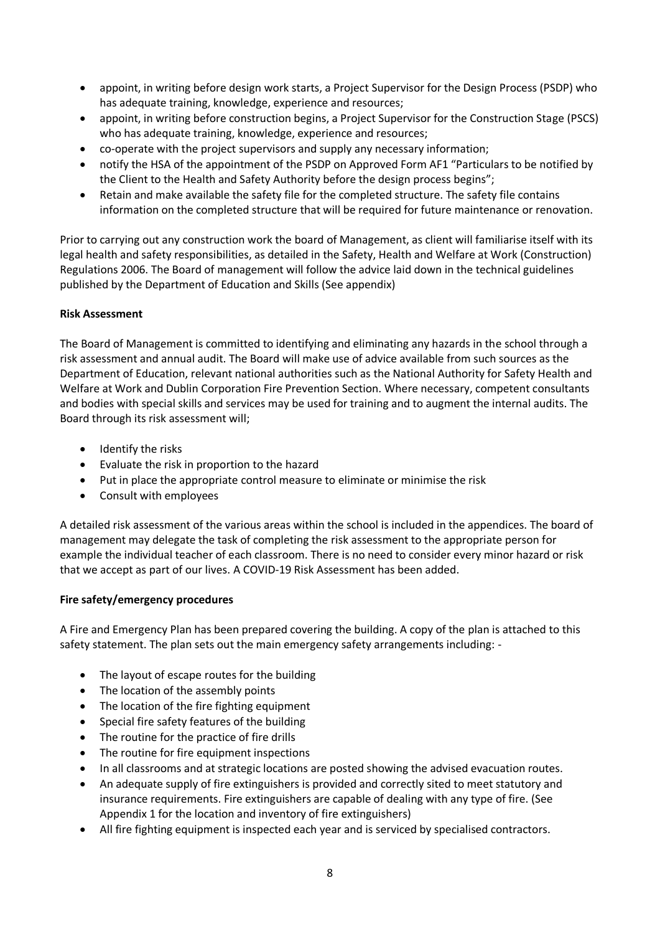- appoint, in writing before design work starts, a Project Supervisor for the Design Process (PSDP) who has adequate training, knowledge, experience and resources;
- appoint, in writing before construction begins, a Project Supervisor for the Construction Stage (PSCS) who has adequate training, knowledge, experience and resources;
- co-operate with the project supervisors and supply any necessary information;
- notify the HSA of the appointment of the PSDP on Approved Form AF1 "Particulars to be notified by the Client to the Health and Safety Authority before the design process begins";
- Retain and make available the safety file for the completed structure. The safety file contains information on the completed structure that will be required for future maintenance or renovation.

Prior to carrying out any construction work the board of Management, as client will familiarise itself with its legal health and safety responsibilities, as detailed in the Safety, Health and Welfare at Work (Construction) Regulations 2006. The Board of management will follow the advice laid down in the technical guidelines published by the Department of Education and Skills (See appendix)

## **Risk Assessment**

The Board of Management is committed to identifying and eliminating any hazards in the school through a risk assessment and annual audit. The Board will make use of advice available from such sources as the Department of Education, relevant national authorities such as the National Authority for Safety Health and Welfare at Work and Dublin Corporation Fire Prevention Section. Where necessary, competent consultants and bodies with special skills and services may be used for training and to augment the internal audits. The Board through its risk assessment will;

- Identify the risks
- Evaluate the risk in proportion to the hazard
- Put in place the appropriate control measure to eliminate or minimise the risk
- Consult with employees

A detailed risk assessment of the various areas within the school is included in the appendices. The board of management may delegate the task of completing the risk assessment to the appropriate person for example the individual teacher of each classroom. There is no need to consider every minor hazard or risk that we accept as part of our lives. A COVID-19 Risk Assessment has been added.

#### **Fire safety/emergency procedures**

A Fire and Emergency Plan has been prepared covering the building. A copy of the plan is attached to this safety statement. The plan sets out the main emergency safety arrangements including: -

- The layout of escape routes for the building
- The location of the assembly points
- The location of the fire fighting equipment
- Special fire safety features of the building
- The routine for the practice of fire drills
- The routine for fire equipment inspections
- In all classrooms and at strategic locations are posted showing the advised evacuation routes.
- An adequate supply of fire extinguishers is provided and correctly sited to meet statutory and insurance requirements. Fire extinguishers are capable of dealing with any type of fire. (See Appendix 1 for the location and inventory of fire extinguishers)
- All fire fighting equipment is inspected each year and is serviced by specialised contractors.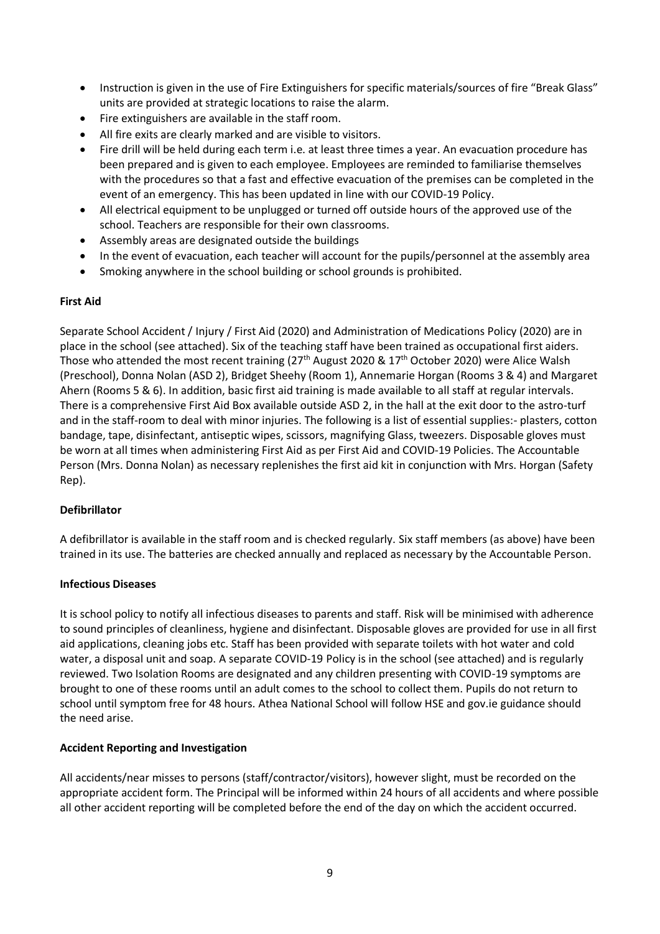- Instruction is given in the use of Fire Extinguishers for specific materials/sources of fire "Break Glass" units are provided at strategic locations to raise the alarm.
- Fire extinguishers are available in the staff room.
- All fire exits are clearly marked and are visible to visitors.
- Fire drill will be held during each term i.e. at least three times a year. An evacuation procedure has been prepared and is given to each employee. Employees are reminded to familiarise themselves with the procedures so that a fast and effective evacuation of the premises can be completed in the event of an emergency. This has been updated in line with our COVID-19 Policy.
- All electrical equipment to be unplugged or turned off outside hours of the approved use of the school. Teachers are responsible for their own classrooms.
- Assembly areas are designated outside the buildings
- In the event of evacuation, each teacher will account for the pupils/personnel at the assembly area
- Smoking anywhere in the school building or school grounds is prohibited.

## **First Aid**

Separate School Accident / Injury / First Aid (2020) and Administration of Medications Policy (2020) are in place in the school (see attached). Six of the teaching staff have been trained as occupational first aiders. Those who attended the most recent training (27<sup>th</sup> August 2020 & 17<sup>th</sup> October 2020) were Alice Walsh (Preschool), Donna Nolan (ASD 2), Bridget Sheehy (Room 1), Annemarie Horgan (Rooms 3 & 4) and Margaret Ahern (Rooms 5 & 6). In addition, basic first aid training is made available to all staff at regular intervals. There is a comprehensive First Aid Box available outside ASD 2, in the hall at the exit door to the astro-turf and in the staff-room to deal with minor injuries. The following is a list of essential supplies:- plasters, cotton bandage, tape, disinfectant, antiseptic wipes, scissors, magnifying Glass, tweezers. Disposable gloves must be worn at all times when administering First Aid as per First Aid and COVID-19 Policies. The Accountable Person (Mrs. Donna Nolan) as necessary replenishes the first aid kit in conjunction with Mrs. Horgan (Safety Rep).

## **Defibrillator**

A defibrillator is available in the staff room and is checked regularly. Six staff members (as above) have been trained in its use. The batteries are checked annually and replaced as necessary by the Accountable Person.

## **Infectious Diseases**

It is school policy to notify all infectious diseases to parents and staff. Risk will be minimised with adherence to sound principles of cleanliness, hygiene and disinfectant. Disposable gloves are provided for use in all first aid applications, cleaning jobs etc. Staff has been provided with separate toilets with hot water and cold water, a disposal unit and soap. A separate COVID-19 Policy is in the school (see attached) and is regularly reviewed. Two Isolation Rooms are designated and any children presenting with COVID-19 symptoms are brought to one of these rooms until an adult comes to the school to collect them. Pupils do not return to school until symptom free for 48 hours. Athea National School will follow HSE and gov.ie guidance should the need arise.

#### **Accident Reporting and Investigation**

All accidents/near misses to persons (staff/contractor/visitors), however slight, must be recorded on the appropriate accident form. The Principal will be informed within 24 hours of all accidents and where possible all other accident reporting will be completed before the end of the day on which the accident occurred.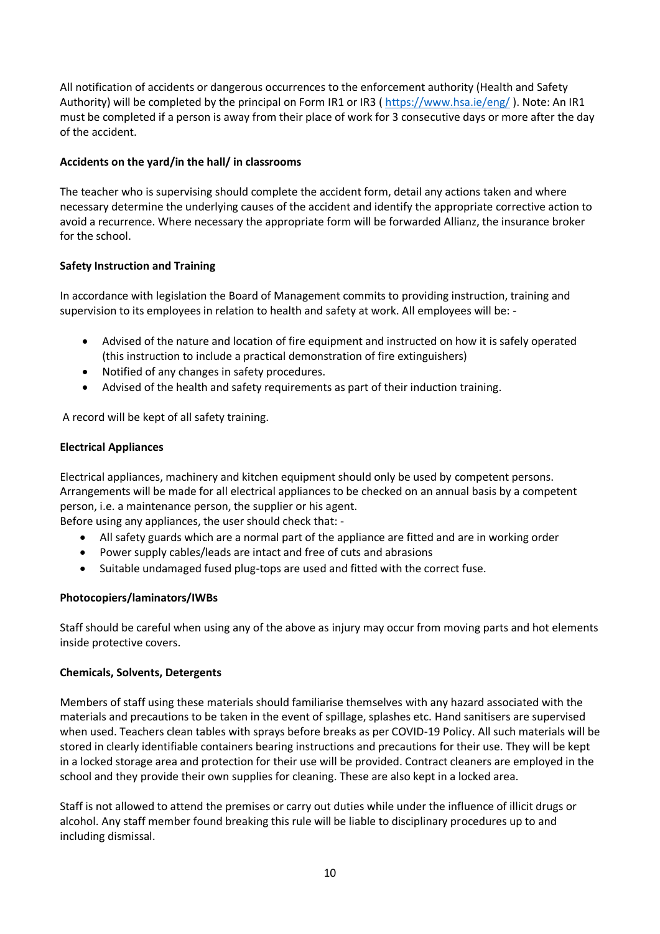All notification of accidents or dangerous occurrences to the enforcement authority (Health and Safety Authority) will be completed by the principal on Form IR1 or IR3 (https://www.hsa.ie/eng/). Note: An IR1 must be completed if a person is away from their place of work for 3 consecutive days or more after the day of the accident.

## **Accidents on the yard/in the hall/ in classrooms**

The teacher who is supervising should complete the accident form, detail any actions taken and where necessary determine the underlying causes of the accident and identify the appropriate corrective action to avoid a recurrence. Where necessary the appropriate form will be forwarded Allianz, the insurance broker for the school.

## **Safety Instruction and Training**

In accordance with legislation the Board of Management commits to providing instruction, training and supervision to its employees in relation to health and safety at work. All employees will be: -

- Advised of the nature and location of fire equipment and instructed on how it is safely operated (this instruction to include a practical demonstration of fire extinguishers)
- Notified of any changes in safety procedures.
- Advised of the health and safety requirements as part of their induction training.

A record will be kept of all safety training.

## **Electrical Appliances**

Electrical appliances, machinery and kitchen equipment should only be used by competent persons. Arrangements will be made for all electrical appliances to be checked on an annual basis by a competent person, i.e. a maintenance person, the supplier or his agent.

Before using any appliances, the user should check that: -

- All safety guards which are a normal part of the appliance are fitted and are in working order
- Power supply cables/leads are intact and free of cuts and abrasions
- Suitable undamaged fused plug-tops are used and fitted with the correct fuse.

## **Photocopiers/laminators/IWBs**

Staff should be careful when using any of the above as injury may occur from moving parts and hot elements inside protective covers.

## **Chemicals, Solvents, Detergents**

Members of staff using these materials should familiarise themselves with any hazard associated with the materials and precautions to be taken in the event of spillage, splashes etc. Hand sanitisers are supervised when used. Teachers clean tables with sprays before breaks as per COVID-19 Policy. All such materials will be stored in clearly identifiable containers bearing instructions and precautions for their use. They will be kept in a locked storage area and protection for their use will be provided. Contract cleaners are employed in the school and they provide their own supplies for cleaning. These are also kept in a locked area.

Staff is not allowed to attend the premises or carry out duties while under the influence of illicit drugs or alcohol. Any staff member found breaking this rule will be liable to disciplinary procedures up to and including dismissal.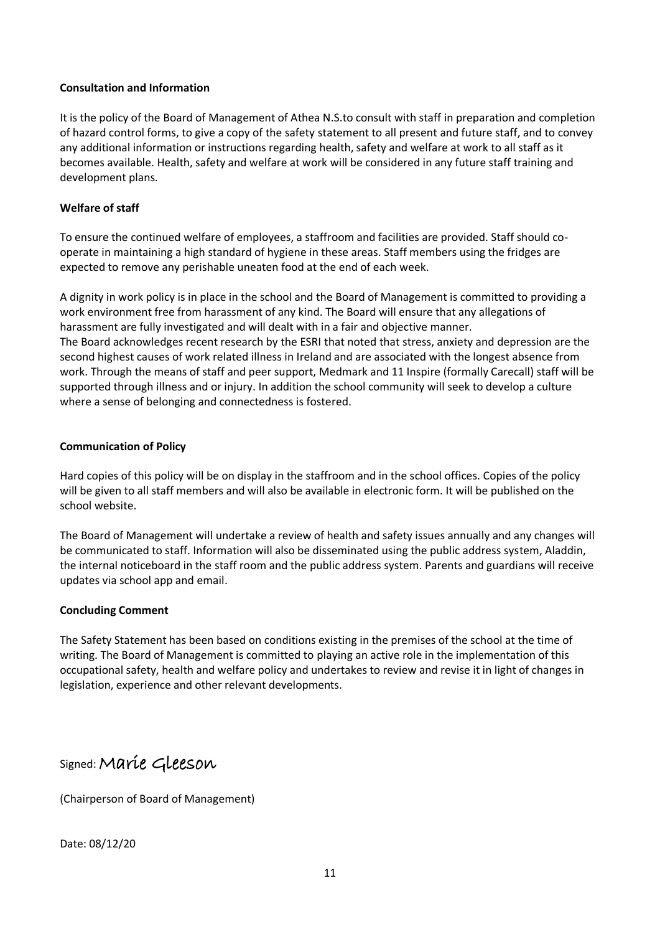#### **Consultation and Information**

It is the policy of the Board of Management of Athea N.S.to consult with staff in preparation and completion of hazard control forms, to give a copy of the safety statement to all present and future staff, and to convey any additional information or instructions regarding health, safety and welfare at work to all staff as it becomes available. Health, safety and welfare at work will be considered in any future staff training and development plans.

## **Welfare of staff**

To ensure the continued welfare of employees, a staffroom and facilities are provided. Staff should cooperate in maintaining a high standard of hygiene in these areas. Staff members using the fridges are expected to remove any perishable uneaten food at the end of each week.

A dignity in work policy is in place in the school and the Board of Management is committed to providing a work environment free from harassment of any kind. The Board will ensure that any allegations of harassment are fully investigated and will dealt with in a fair and objective manner. The Board acknowledges recent research by the ESRI that noted that stress, anxiety and depression are the second highest causes of work related illness in Ireland and are associated with the longest absence from work. Through the means of staff and peer support, Medmark and 11 Inspire (formally Carecall) staff will be supported through illness and or injury. In addition the school community will seek to develop a culture where a sense of belonging and connectedness is fostered.

## **Communication of Policy**

Hard copies of this policy will be on display in the staffroom and in the school offices. Copies of the policy will be given to all staff members and will also be available in electronic form. It will be published on the school website.

The Board of Management will undertake a review of health and safety issues annually and any changes will be communicated to staff. Information will also be disseminated using the public address system, Aladdin, the internal noticeboard in the staff room and the public address system. Parents and guardians will receive updates via school app and email.

## **Concluding Comment**

The Safety Statement has been based on conditions existing in the premises of the school at the time of writing. The Board of Management is committed to playing an active role in the implementation of this occupational safety, health and welfare policy and undertakes to review and revise it in light of changes in legislation, experience and other relevant developments.

Signed:Marie Gleeson

(Chairperson of Board of Management)

Date: 08/12/20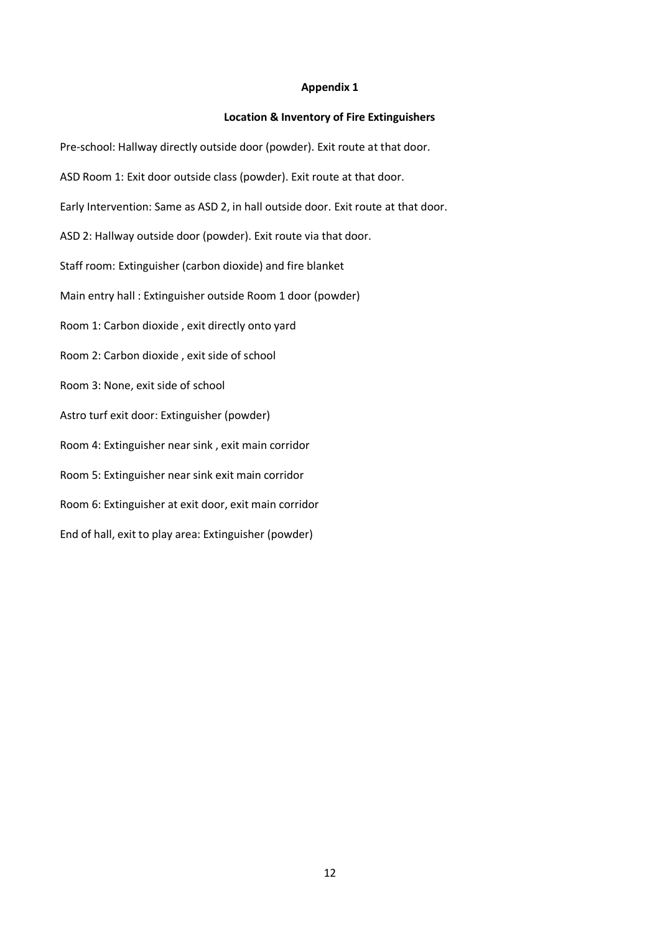#### **Location & Inventory of Fire Extinguishers**

Pre-school: Hallway directly outside door (powder). Exit route at that door. ASD Room 1: Exit door outside class (powder). Exit route at that door. Early Intervention: Same as ASD 2, in hall outside door. Exit route at that door. ASD 2: Hallway outside door (powder). Exit route via that door. Staff room: Extinguisher (carbon dioxide) and fire blanket Main entry hall : Extinguisher outside Room 1 door (powder) Room 1: Carbon dioxide , exit directly onto yard Room 2: Carbon dioxide , exit side of school Room 3: None, exit side of school Astro turf exit door: Extinguisher (powder) Room 4: Extinguisher near sink , exit main corridor Room 5: Extinguisher near sink exit main corridor Room 6: Extinguisher at exit door, exit main corridor End of hall, exit to play area: Extinguisher (powder)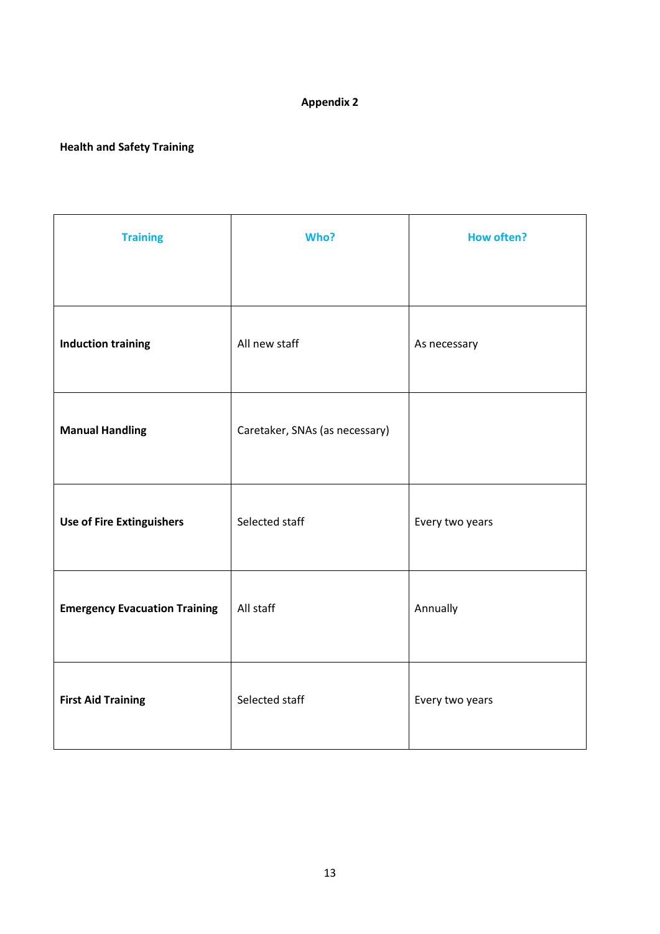## **Health and Safety Training**

| <b>Training</b>                      | Who?                           | <b>How often?</b> |
|--------------------------------------|--------------------------------|-------------------|
|                                      |                                |                   |
| <b>Induction training</b>            | All new staff                  | As necessary      |
| <b>Manual Handling</b>               | Caretaker, SNAs (as necessary) |                   |
| <b>Use of Fire Extinguishers</b>     | Selected staff                 | Every two years   |
| <b>Emergency Evacuation Training</b> | All staff                      | Annually          |
| <b>First Aid Training</b>            | Selected staff                 | Every two years   |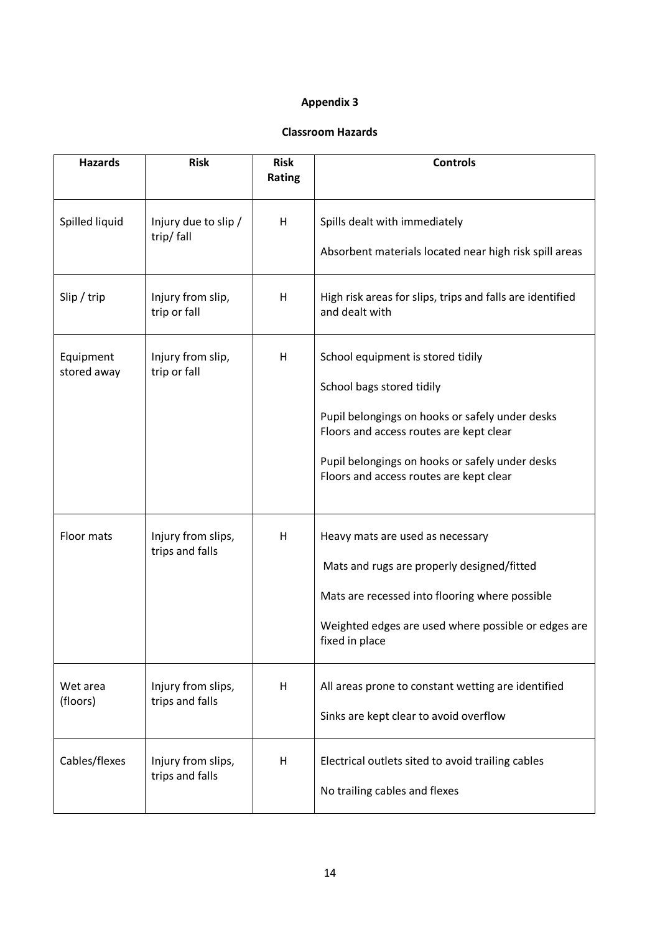#### **Classroom Hazards**

| <b>Hazards</b>           | <b>Risk</b>                           | <b>Risk</b><br>Rating | <b>Controls</b>                                                                                                                                                                                                                                            |
|--------------------------|---------------------------------------|-----------------------|------------------------------------------------------------------------------------------------------------------------------------------------------------------------------------------------------------------------------------------------------------|
| Spilled liquid           | Injury due to slip /<br>trip/fall     | н                     | Spills dealt with immediately<br>Absorbent materials located near high risk spill areas                                                                                                                                                                    |
| Slip / trip              | Injury from slip,<br>trip or fall     | H                     | High risk areas for slips, trips and falls are identified<br>and dealt with                                                                                                                                                                                |
| Equipment<br>stored away | Injury from slip,<br>trip or fall     | H                     | School equipment is stored tidily<br>School bags stored tidily<br>Pupil belongings on hooks or safely under desks<br>Floors and access routes are kept clear<br>Pupil belongings on hooks or safely under desks<br>Floors and access routes are kept clear |
| Floor mats               | Injury from slips,<br>trips and falls | H                     | Heavy mats are used as necessary<br>Mats and rugs are properly designed/fitted<br>Mats are recessed into flooring where possible<br>Weighted edges are used where possible or edges are<br>fixed in place                                                  |
| Wet area<br>(floors)     | Injury from slips,<br>trips and falls | H                     | All areas prone to constant wetting are identified<br>Sinks are kept clear to avoid overflow                                                                                                                                                               |
| Cables/flexes            | Injury from slips,<br>trips and falls | н                     | Electrical outlets sited to avoid trailing cables<br>No trailing cables and flexes                                                                                                                                                                         |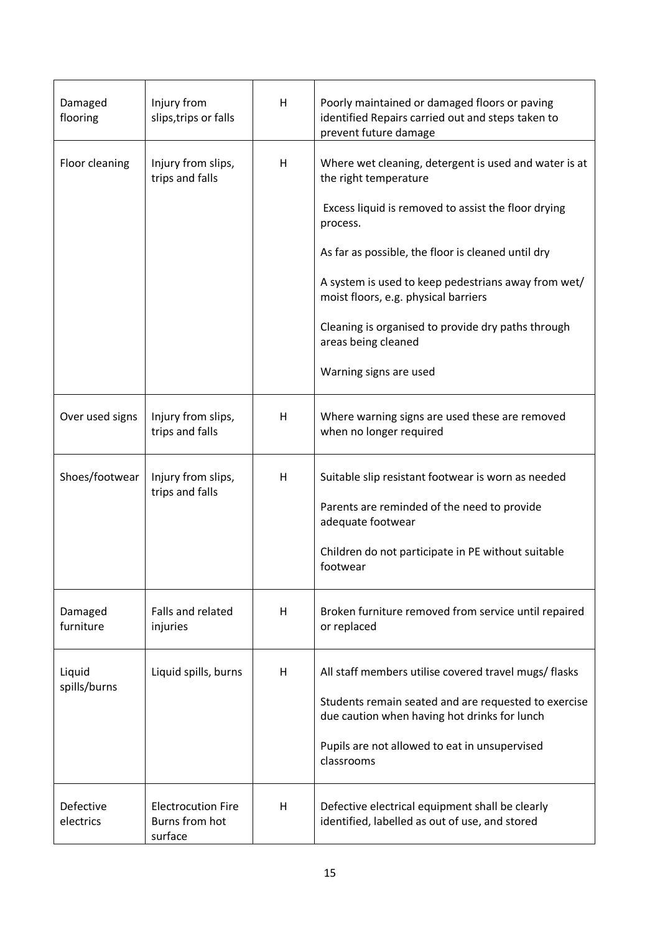| Damaged<br>flooring    | Injury from<br>slips, trips or falls                   | H | Poorly maintained or damaged floors or paving<br>identified Repairs carried out and steps taken to<br>prevent future damage                                                                                                                                                                                                                                                                                   |
|------------------------|--------------------------------------------------------|---|---------------------------------------------------------------------------------------------------------------------------------------------------------------------------------------------------------------------------------------------------------------------------------------------------------------------------------------------------------------------------------------------------------------|
| Floor cleaning         | Injury from slips,<br>trips and falls                  | H | Where wet cleaning, detergent is used and water is at<br>the right temperature<br>Excess liquid is removed to assist the floor drying<br>process.<br>As far as possible, the floor is cleaned until dry<br>A system is used to keep pedestrians away from wet/<br>moist floors, e.g. physical barriers<br>Cleaning is organised to provide dry paths through<br>areas being cleaned<br>Warning signs are used |
| Over used signs        | Injury from slips,<br>trips and falls                  | H | Where warning signs are used these are removed<br>when no longer required                                                                                                                                                                                                                                                                                                                                     |
| Shoes/footwear         | Injury from slips,<br>trips and falls                  | H | Suitable slip resistant footwear is worn as needed<br>Parents are reminded of the need to provide<br>adequate footwear<br>Children do not participate in PE without suitable<br>footwear                                                                                                                                                                                                                      |
| Damaged<br>furniture   | Falls and related<br>injuries                          | H | Broken furniture removed from service until repaired<br>or replaced                                                                                                                                                                                                                                                                                                                                           |
| Liquid<br>spills/burns | Liquid spills, burns                                   | H | All staff members utilise covered travel mugs/ flasks<br>Students remain seated and are requested to exercise<br>due caution when having hot drinks for lunch<br>Pupils are not allowed to eat in unsupervised<br>classrooms                                                                                                                                                                                  |
| Defective<br>electrics | <b>Electrocution Fire</b><br>Burns from hot<br>surface | H | Defective electrical equipment shall be clearly<br>identified, labelled as out of use, and stored                                                                                                                                                                                                                                                                                                             |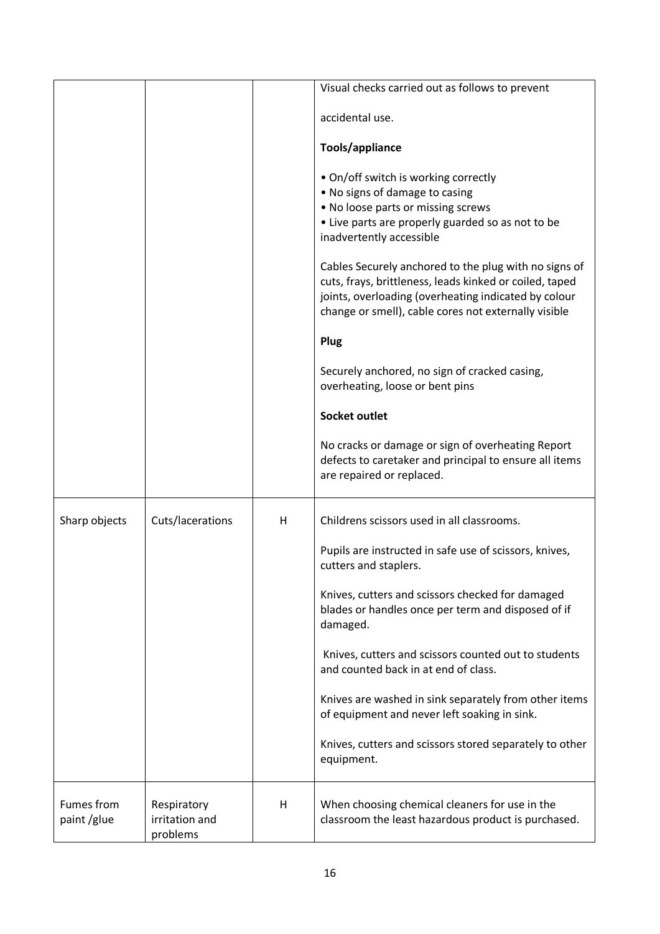|               |                  |   | Visual checks carried out as follows to prevent                |
|---------------|------------------|---|----------------------------------------------------------------|
|               |                  |   |                                                                |
|               |                  |   | accidental use.                                                |
|               |                  |   |                                                                |
|               |                  |   | Tools/appliance                                                |
|               |                  |   | • On/off switch is working correctly                           |
|               |                  |   | . No signs of damage to casing                                 |
|               |                  |   | . No loose parts or missing screws                             |
|               |                  |   | • Live parts are properly guarded so as not to be              |
|               |                  |   | inadvertently accessible                                       |
|               |                  |   | Cables Securely anchored to the plug with no signs of          |
|               |                  |   | cuts, frays, brittleness, leads kinked or coiled, taped        |
|               |                  |   | joints, overloading (overheating indicated by colour           |
|               |                  |   | change or smell), cable cores not externally visible           |
|               |                  |   | Plug                                                           |
|               |                  |   | Securely anchored, no sign of cracked casing,                  |
|               |                  |   | overheating, loose or bent pins                                |
|               |                  |   |                                                                |
|               |                  |   | <b>Socket outlet</b>                                           |
|               |                  |   | No cracks or damage or sign of overheating Report              |
|               |                  |   | defects to caretaker and principal to ensure all items         |
|               |                  |   | are repaired or replaced.                                      |
|               |                  |   |                                                                |
| Sharp objects | Cuts/lacerations | н | Childrens scissors used in all classrooms.                     |
|               |                  |   | Pupils are instructed in safe use of scissors, knives,         |
|               |                  |   | cutters and staplers.                                          |
|               |                  |   |                                                                |
|               |                  |   | Knives, cutters and scissors checked for damaged               |
|               |                  |   | blades or handles once per term and disposed of if<br>damaged. |
|               |                  |   |                                                                |
|               |                  |   | Knives, cutters and scissors counted out to students           |
|               |                  |   | and counted back in at end of class.                           |
|               |                  |   | Knives are washed in sink separately from other items          |
|               |                  |   | of equipment and never left soaking in sink.                   |
|               |                  |   |                                                                |
|               |                  |   | Knives, cutters and scissors stored separately to other        |
|               |                  |   | equipment.                                                     |
|               |                  |   |                                                                |
| Fumes from    | Respiratory      | H | When choosing chemical cleaners for use in the                 |
| paint/glue    | irritation and   |   | classroom the least hazardous product is purchased.            |
|               | problems         |   |                                                                |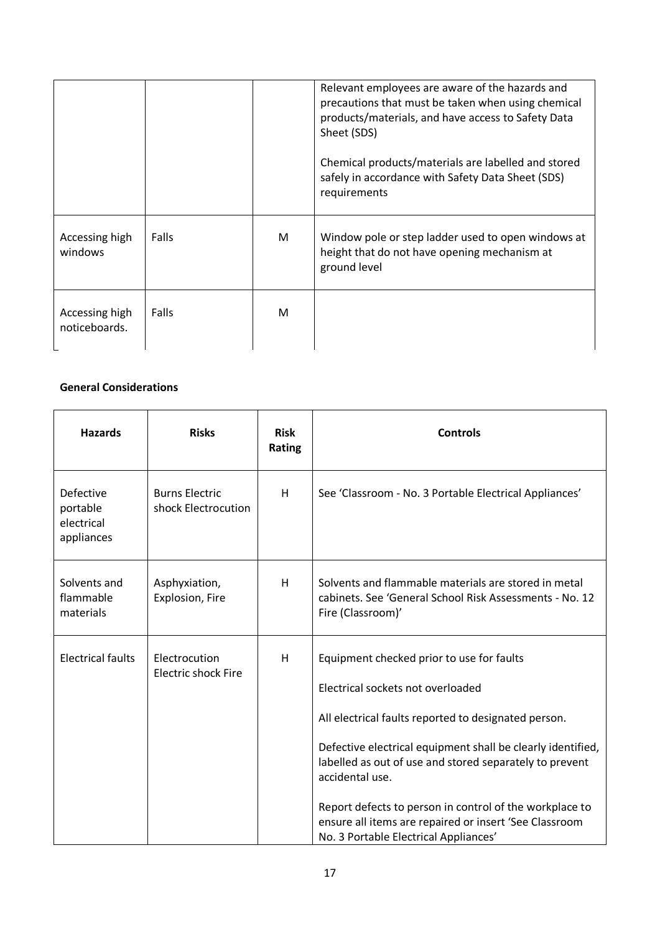|                                 |       |   | Relevant employees are aware of the hazards and<br>precautions that must be taken when using chemical<br>products/materials, and have access to Safety Data<br>Sheet (SDS)<br>Chemical products/materials are labelled and stored<br>safely in accordance with Safety Data Sheet (SDS)<br>requirements |
|---------------------------------|-------|---|--------------------------------------------------------------------------------------------------------------------------------------------------------------------------------------------------------------------------------------------------------------------------------------------------------|
| Accessing high<br>windows       | Falls | M | Window pole or step ladder used to open windows at<br>height that do not have opening mechanism at<br>ground level                                                                                                                                                                                     |
| Accessing high<br>noticeboards. | Falls | М |                                                                                                                                                                                                                                                                                                        |

## **General Considerations**

| <b>Hazards</b>                                           | <b>Risks</b>                                 | <b>Risk</b><br>Rating | <b>Controls</b>                                                                                                                                                                                                                                                                                                                                                                                                                                   |
|----------------------------------------------------------|----------------------------------------------|-----------------------|---------------------------------------------------------------------------------------------------------------------------------------------------------------------------------------------------------------------------------------------------------------------------------------------------------------------------------------------------------------------------------------------------------------------------------------------------|
| <b>Defective</b><br>portable<br>electrical<br>appliances | <b>Burns Electric</b><br>shock Electrocution | H                     | See 'Classroom - No. 3 Portable Electrical Appliances'                                                                                                                                                                                                                                                                                                                                                                                            |
| Solvents and<br>flammable<br>materials                   | Asphyxiation,<br>Explosion, Fire             | H                     | Solvents and flammable materials are stored in metal<br>cabinets. See 'General School Risk Assessments - No. 12<br>Fire (Classroom)'                                                                                                                                                                                                                                                                                                              |
| <b>Electrical faults</b>                                 | Electrocution<br><b>Electric shock Fire</b>  | H                     | Equipment checked prior to use for faults<br>Electrical sockets not overloaded<br>All electrical faults reported to designated person.<br>Defective electrical equipment shall be clearly identified,<br>labelled as out of use and stored separately to prevent<br>accidental use.<br>Report defects to person in control of the workplace to<br>ensure all items are repaired or insert 'See Classroom<br>No. 3 Portable Electrical Appliances' |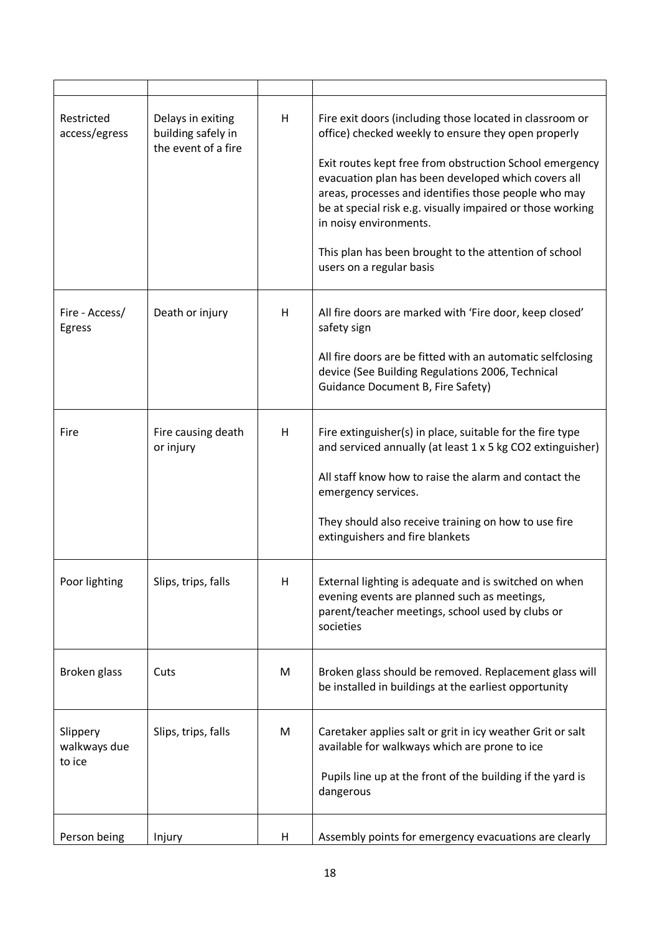| Restricted<br>access/egress        | Delays in exiting<br>building safely in<br>the event of a fire | н | Fire exit doors (including those located in classroom or<br>office) checked weekly to ensure they open properly<br>Exit routes kept free from obstruction School emergency<br>evacuation plan has been developed which covers all<br>areas, processes and identifies those people who may<br>be at special risk e.g. visually impaired or those working<br>in noisy environments.<br>This plan has been brought to the attention of school<br>users on a regular basis |
|------------------------------------|----------------------------------------------------------------|---|------------------------------------------------------------------------------------------------------------------------------------------------------------------------------------------------------------------------------------------------------------------------------------------------------------------------------------------------------------------------------------------------------------------------------------------------------------------------|
| Fire - Access/<br>Egress           | Death or injury                                                | н | All fire doors are marked with 'Fire door, keep closed'<br>safety sign<br>All fire doors are be fitted with an automatic selfclosing<br>device (See Building Regulations 2006, Technical<br><b>Guidance Document B, Fire Safety)</b>                                                                                                                                                                                                                                   |
| Fire                               | Fire causing death<br>or injury                                | н | Fire extinguisher(s) in place, suitable for the fire type<br>and serviced annually (at least 1 x 5 kg CO2 extinguisher)<br>All staff know how to raise the alarm and contact the<br>emergency services.<br>They should also receive training on how to use fire<br>extinguishers and fire blankets                                                                                                                                                                     |
| Poor lighting                      | Slips, trips, falls                                            | H | External lighting is adequate and is switched on when<br>evening events are planned such as meetings,<br>parent/teacher meetings, school used by clubs or<br>societies                                                                                                                                                                                                                                                                                                 |
| Broken glass                       | Cuts                                                           | M | Broken glass should be removed. Replacement glass will<br>be installed in buildings at the earliest opportunity                                                                                                                                                                                                                                                                                                                                                        |
| Slippery<br>walkways due<br>to ice | Slips, trips, falls                                            | M | Caretaker applies salt or grit in icy weather Grit or salt<br>available for walkways which are prone to ice<br>Pupils line up at the front of the building if the yard is<br>dangerous                                                                                                                                                                                                                                                                                 |
| Person being                       | Injury                                                         | H | Assembly points for emergency evacuations are clearly                                                                                                                                                                                                                                                                                                                                                                                                                  |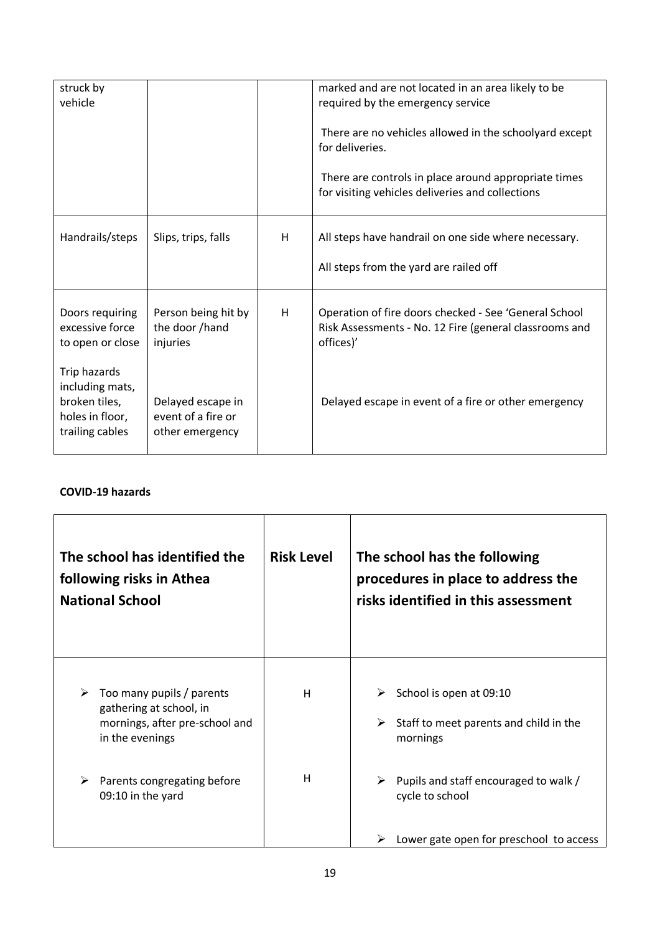| struck by<br>vehicle                                                                   |                                                            |   | marked and are not located in an area likely to be<br>required by the emergency service<br>There are no vehicles allowed in the schoolyard except<br>for deliveries.<br>There are controls in place around appropriate times<br>for visiting vehicles deliveries and collections |
|----------------------------------------------------------------------------------------|------------------------------------------------------------|---|----------------------------------------------------------------------------------------------------------------------------------------------------------------------------------------------------------------------------------------------------------------------------------|
| Handrails/steps                                                                        | Slips, trips, falls                                        | H | All steps have handrail on one side where necessary.<br>All steps from the yard are railed off                                                                                                                                                                                   |
| Doors requiring<br>excessive force<br>to open or close                                 | Person being hit by<br>the door /hand<br>injuries          | H | Operation of fire doors checked - See 'General School<br>Risk Assessments - No. 12 Fire (general classrooms and<br>offices)'                                                                                                                                                     |
| Trip hazards<br>including mats,<br>broken tiles,<br>holes in floor,<br>trailing cables | Delayed escape in<br>event of a fire or<br>other emergency |   | Delayed escape in event of a fire or other emergency                                                                                                                                                                                                                             |

## **COVID-19 hazards**

| The school has identified the<br>following risks in Athea<br><b>National School</b>                            | <b>Risk Level</b> | The school has the following<br>procedures in place to address the<br>risks identified in this assessment |
|----------------------------------------------------------------------------------------------------------------|-------------------|-----------------------------------------------------------------------------------------------------------|
| Too many pupils / parents<br>➤<br>gathering at school, in<br>mornings, after pre-school and<br>in the evenings | H                 | School is open at 09:10<br>Staff to meet parents and child in the<br>➤<br>mornings                        |
| ➤<br>Parents congregating before<br>09:10 in the yard                                                          | H                 | Pupils and staff encouraged to walk /<br>cycle to school<br>Lower gate open for preschool to access       |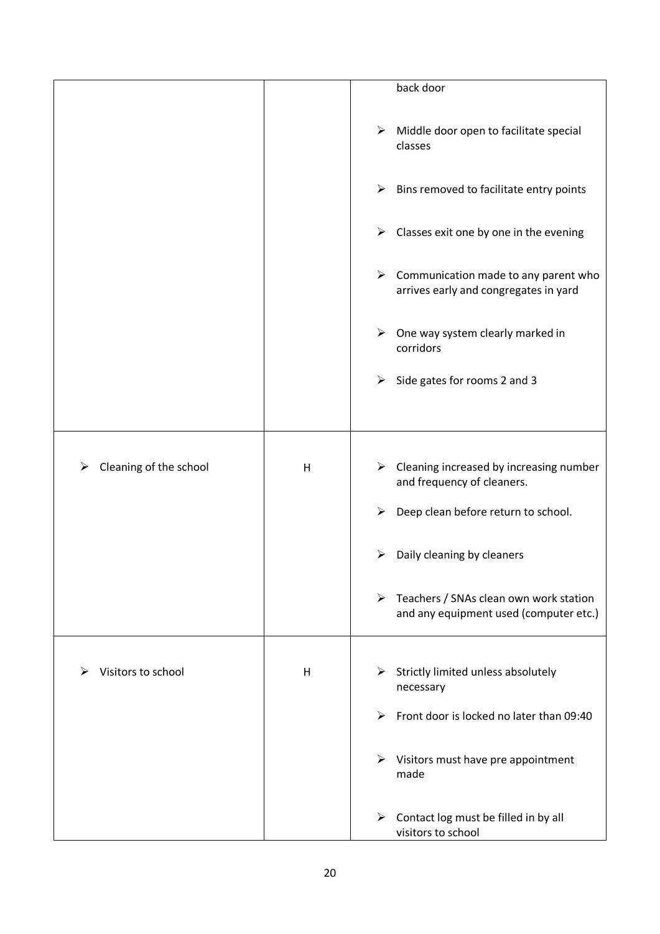|                        |   | back door                                                                                         |
|------------------------|---|---------------------------------------------------------------------------------------------------|
|                        |   |                                                                                                   |
|                        |   | Middle door open to facilitate special<br>➤<br>classes                                            |
|                        |   | Bins removed to facilitate entry points<br>➤                                                      |
|                        |   | Classes exit one by one in the evening<br>➤                                                       |
|                        |   | Communication made to any parent who<br>➤<br>arrives early and congregates in yard                |
|                        |   | $\blacktriangleright$<br>One way system clearly marked in<br>corridors                            |
|                        |   | Side gates for rooms 2 and 3<br>➤                                                                 |
|                        |   |                                                                                                   |
| Cleaning of the school | H | Cleaning increased by increasing number<br>➤<br>and frequency of cleaners.                        |
|                        |   | Deep clean before return to school.<br>≻                                                          |
|                        |   | Daily cleaning by cleaners                                                                        |
|                        |   | $\triangleright$ Teachers / SNAs clean own work station<br>and any equipment used (computer etc.) |
| Visitors to school     | H | Strictly limited unless absolutely<br>➤<br>necessary                                              |
|                        |   | Front door is locked no later than 09:40<br>⋗                                                     |
|                        |   | Visitors must have pre appointment<br>➤<br>made                                                   |
|                        |   | Contact log must be filled in by all<br>➤<br>visitors to school                                   |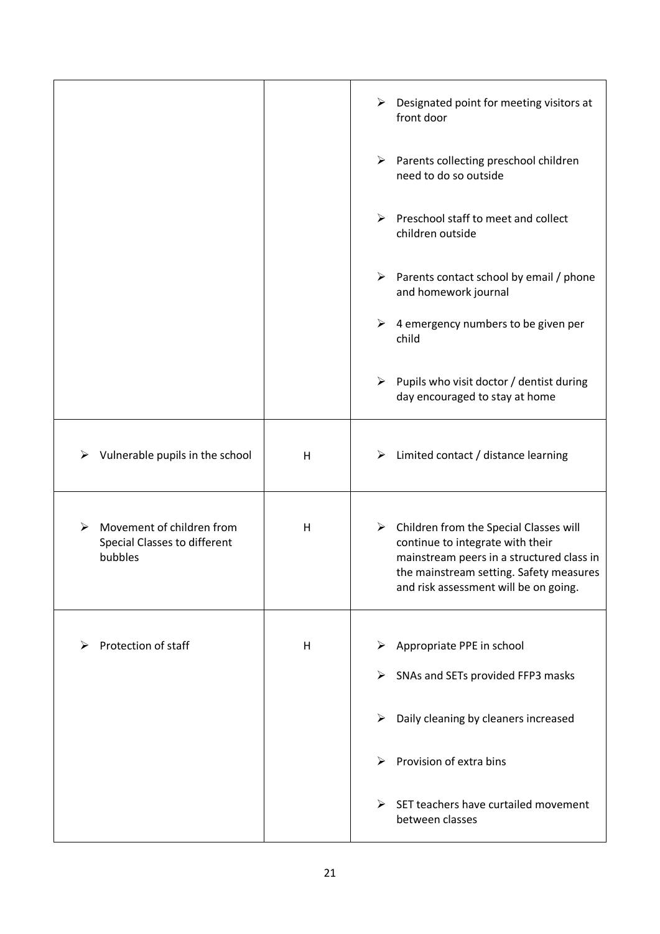|                                                                           |   | Designated point for meeting visitors at<br>➤<br>front door                                                                                                                                                                  |
|---------------------------------------------------------------------------|---|------------------------------------------------------------------------------------------------------------------------------------------------------------------------------------------------------------------------------|
|                                                                           |   | Parents collecting preschool children<br>➤<br>need to do so outside                                                                                                                                                          |
|                                                                           |   | Preschool staff to meet and collect<br>➤<br>children outside                                                                                                                                                                 |
|                                                                           |   | $\triangleright$ Parents contact school by email / phone<br>and homework journal                                                                                                                                             |
|                                                                           |   | 4 emergency numbers to be given per<br>➤<br>child                                                                                                                                                                            |
|                                                                           |   | $\triangleright$ Pupils who visit doctor / dentist during<br>day encouraged to stay at home                                                                                                                                  |
| Vulnerable pupils in the school<br>➤                                      | H | $\triangleright$ Limited contact / distance learning                                                                                                                                                                         |
| Movement of children from<br>⋗<br>Special Classes to different<br>bubbles | H | $\triangleright$ Children from the Special Classes will<br>continue to integrate with their<br>mainstream peers in a structured class in<br>the mainstream setting. Safety measures<br>and risk assessment will be on going. |
|                                                                           |   |                                                                                                                                                                                                                              |
| Protection of staff<br>⋗                                                  | H | Appropriate PPE in school<br>➤                                                                                                                                                                                               |
|                                                                           |   | SNAs and SETs provided FFP3 masks<br>➤                                                                                                                                                                                       |
|                                                                           |   | Daily cleaning by cleaners increased<br>➤                                                                                                                                                                                    |
|                                                                           |   | Provision of extra bins<br>➤                                                                                                                                                                                                 |
|                                                                           |   | SET teachers have curtailed movement<br>➤<br>between classes                                                                                                                                                                 |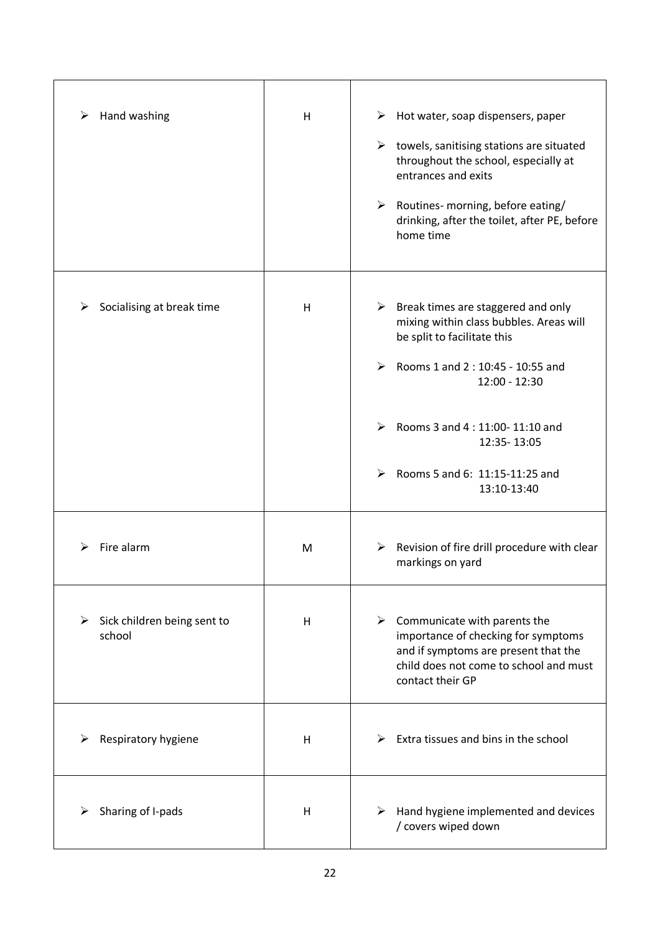| Hand washing<br>➤                          | H | $\triangleright$ Hot water, soap dispensers, paper<br>$\triangleright$ towels, sanitising stations are situated<br>throughout the school, especially at<br>entrances and exits<br>$\triangleright$ Routines- morning, before eating/<br>drinking, after the toilet, after PE, before |
|--------------------------------------------|---|--------------------------------------------------------------------------------------------------------------------------------------------------------------------------------------------------------------------------------------------------------------------------------------|
|                                            |   | home time                                                                                                                                                                                                                                                                            |
| Socialising at break time                  | H | $\triangleright$ Break times are staggered and only<br>mixing within class bubbles. Areas will<br>be split to facilitate this<br>Rooms 1 and 2 : 10:45 - 10:55 and<br>➤<br>12:00 - 12:30                                                                                             |
|                                            |   | Rooms 3 and 4:11:00-11:10 and<br>➤<br>12:35-13:05<br>Rooms 5 and 6: 11:15-11:25 and<br>➤                                                                                                                                                                                             |
|                                            |   | 13:10-13:40                                                                                                                                                                                                                                                                          |
| Fire alarm                                 | M | Revision of fire drill procedure with clear<br>➤<br>markings on yard                                                                                                                                                                                                                 |
| Sick children being sent to<br>➤<br>school | H | Communicate with parents the<br>➤<br>importance of checking for symptoms<br>and if symptoms are present that the<br>child does not come to school and must<br>contact their GP                                                                                                       |
| Respiratory hygiene                        | H | Extra tissues and bins in the school                                                                                                                                                                                                                                                 |
| Sharing of I-pads                          | H | Hand hygiene implemented and devices<br>➤<br>/ covers wiped down                                                                                                                                                                                                                     |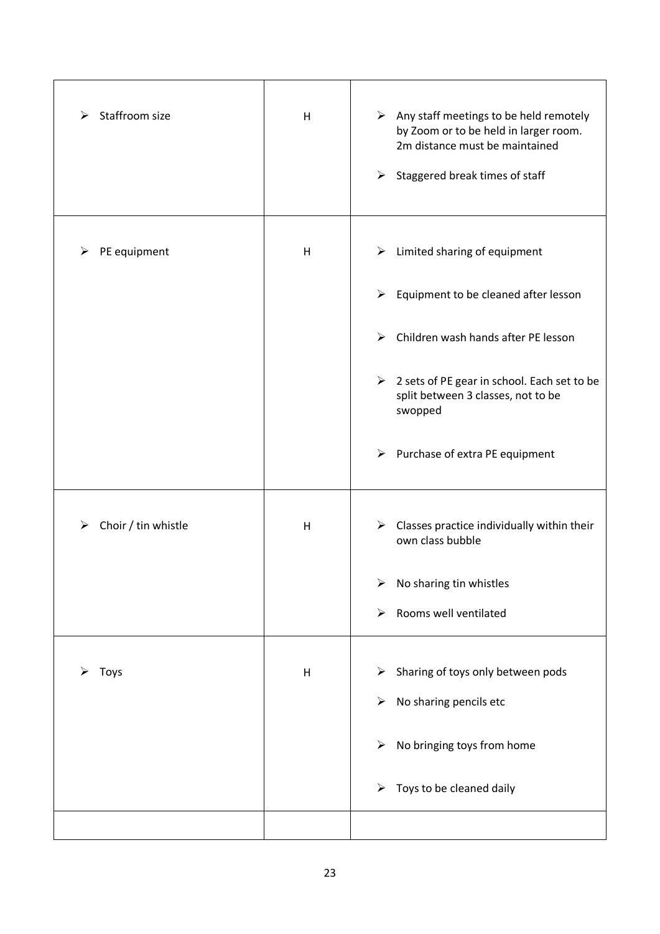| Staffroom size<br>⋗ | Н       | $\triangleright$ Any staff meetings to be held remotely<br>by Zoom or to be held in larger room.<br>2m distance must be maintained<br>Staggered break times of staff<br>➤ |
|---------------------|---------|---------------------------------------------------------------------------------------------------------------------------------------------------------------------------|
| PE equipment<br>➤   | H       | Limited sharing of equipment<br>➤                                                                                                                                         |
|                     |         | $\blacktriangleright$<br>Equipment to be cleaned after lesson                                                                                                             |
|                     |         | Children wash hands after PE lesson<br>➤                                                                                                                                  |
|                     |         | $\triangleright$ 2 sets of PE gear in school. Each set to be<br>split between 3 classes, not to be<br>swopped                                                             |
|                     |         | $\triangleright$ Purchase of extra PE equipment                                                                                                                           |
| Choir / tin whistle | H       | $\triangleright$ Classes practice individually within their<br>own class bubble                                                                                           |
|                     |         | No sharing tin whistles<br>➤                                                                                                                                              |
|                     |         | Rooms well ventilated<br>➤                                                                                                                                                |
| Toys                | $\sf H$ | Sharing of toys only between pods<br>➤                                                                                                                                    |
|                     |         | No sharing pencils etc<br>➤                                                                                                                                               |
|                     |         |                                                                                                                                                                           |
|                     |         | No bringing toys from home<br>➤                                                                                                                                           |
|                     |         | Toys to be cleaned daily<br>➤                                                                                                                                             |
|                     |         |                                                                                                                                                                           |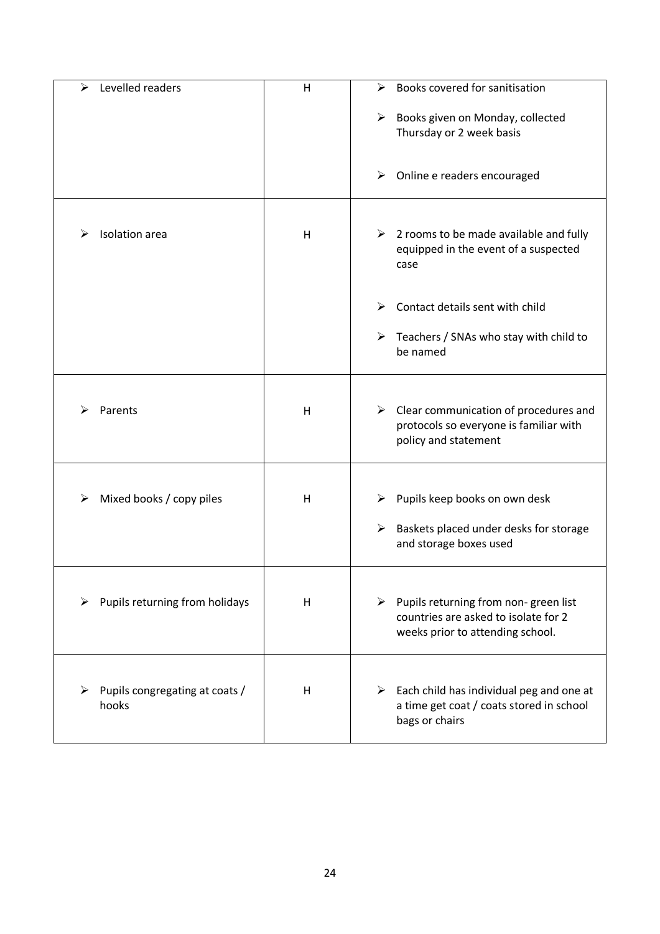| Levelled readers<br>⋗                   | H | Books covered for sanitisation<br>⋗                                                                                               |
|-----------------------------------------|---|-----------------------------------------------------------------------------------------------------------------------------------|
|                                         |   | Books given on Monday, collected<br>➤                                                                                             |
|                                         |   | Thursday or 2 week basis                                                                                                          |
|                                         |   |                                                                                                                                   |
|                                         |   | Online e readers encouraged<br>➤                                                                                                  |
|                                         |   |                                                                                                                                   |
| Isolation area                          | H | $\triangleright$ 2 rooms to be made available and fully<br>equipped in the event of a suspected<br>case                           |
|                                         |   | Contact details sent with child<br>⋗                                                                                              |
|                                         |   | Teachers / SNAs who stay with child to<br>➤<br>be named                                                                           |
|                                         |   |                                                                                                                                   |
| Parents                                 | H | $\triangleright$ Clear communication of procedures and<br>protocols so everyone is familiar with<br>policy and statement          |
|                                         |   |                                                                                                                                   |
|                                         |   |                                                                                                                                   |
| Mixed books / copy piles<br>⋗           | H | Pupils keep books on own desk<br>⋗                                                                                                |
|                                         |   | Baskets placed under desks for storage<br>➤<br>and storage boxes used                                                             |
|                                         |   |                                                                                                                                   |
| Pupils returning from holidays          | H | $\triangleright$ Pupils returning from non-green list<br>countries are asked to isolate for 2<br>weeks prior to attending school. |
|                                         |   |                                                                                                                                   |
|                                         |   |                                                                                                                                   |
| Pupils congregating at coats /<br>hooks | H | Each child has individual peg and one at<br>➤<br>a time get coat / coats stored in school<br>bags or chairs                       |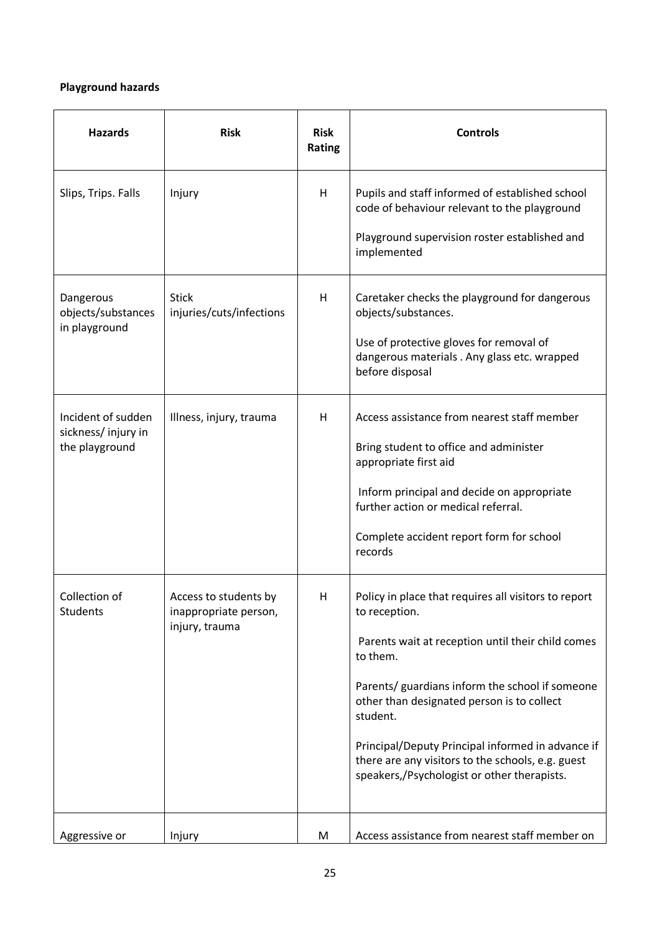## **Playground hazards**

| <b>Hazards</b>                                             | <b>Risk</b>                                                      | <b>Risk</b><br>Rating | <b>Controls</b>                                                                                                                                                                                                                                                                                                                                                                                              |
|------------------------------------------------------------|------------------------------------------------------------------|-----------------------|--------------------------------------------------------------------------------------------------------------------------------------------------------------------------------------------------------------------------------------------------------------------------------------------------------------------------------------------------------------------------------------------------------------|
| Slips, Trips. Falls                                        | Injury                                                           | Н                     | Pupils and staff informed of established school<br>code of behaviour relevant to the playground<br>Playground supervision roster established and<br>implemented                                                                                                                                                                                                                                              |
| Dangerous<br>objects/substances<br>in playground           | <b>Stick</b><br>injuries/cuts/infections                         | H                     | Caretaker checks the playground for dangerous<br>objects/substances.<br>Use of protective gloves for removal of<br>dangerous materials . Any glass etc. wrapped<br>before disposal                                                                                                                                                                                                                           |
| Incident of sudden<br>sickness/injury in<br>the playground | Illness, injury, trauma                                          | Н                     | Access assistance from nearest staff member<br>Bring student to office and administer<br>appropriate first aid<br>Inform principal and decide on appropriate<br>further action or medical referral.<br>Complete accident report form for school<br>records                                                                                                                                                   |
| Collection of<br>Students                                  | Access to students by<br>inappropriate person,<br>injury, trauma | H                     | Policy in place that requires all visitors to report<br>to reception.<br>Parents wait at reception until their child comes<br>to them.<br>Parents/ guardians inform the school if someone<br>other than designated person is to collect<br>student.<br>Principal/Deputy Principal informed in advance if<br>there are any visitors to the schools, e.g. guest<br>speakers,/Psychologist or other therapists. |
| Aggressive or                                              | Injury                                                           | M                     | Access assistance from nearest staff member on                                                                                                                                                                                                                                                                                                                                                               |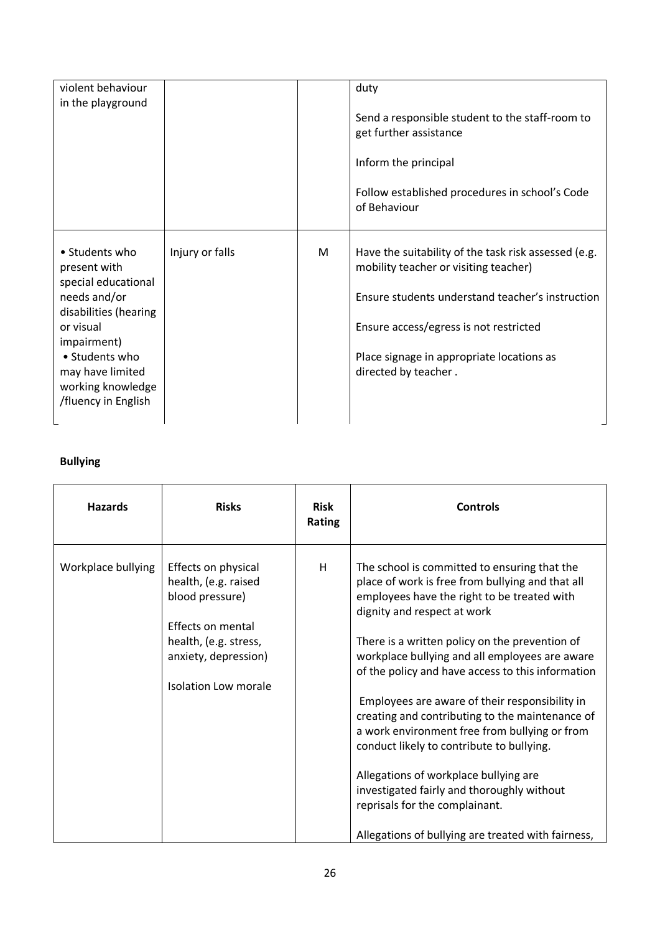| violent behaviour<br>in the playground                                                                                                                                                                       |                 |   | duty<br>Send a responsible student to the staff-room to<br>get further assistance<br>Inform the principal<br>Follow established procedures in school's Code<br>of Behaviour                                                                                      |
|--------------------------------------------------------------------------------------------------------------------------------------------------------------------------------------------------------------|-----------------|---|------------------------------------------------------------------------------------------------------------------------------------------------------------------------------------------------------------------------------------------------------------------|
| • Students who<br>present with<br>special educational<br>needs and/or<br>disabilities (hearing<br>or visual<br>impairment)<br>• Students who<br>may have limited<br>working knowledge<br>/fluency in English | Injury or falls | M | Have the suitability of the task risk assessed (e.g.<br>mobility teacher or visiting teacher)<br>Ensure students understand teacher's instruction<br>Ensure access/egress is not restricted<br>Place signage in appropriate locations as<br>directed by teacher. |

# **Bullying**

| <b>Hazards</b>     | <b>Risks</b>                                                                                                                                                 | <b>Risk</b><br>Rating | <b>Controls</b>                                                                                                                                                                                                                                                                                                                                                                                                                                                                                                                                                                                                                                                                                                           |
|--------------------|--------------------------------------------------------------------------------------------------------------------------------------------------------------|-----------------------|---------------------------------------------------------------------------------------------------------------------------------------------------------------------------------------------------------------------------------------------------------------------------------------------------------------------------------------------------------------------------------------------------------------------------------------------------------------------------------------------------------------------------------------------------------------------------------------------------------------------------------------------------------------------------------------------------------------------------|
| Workplace bullying | Effects on physical<br>health, (e.g. raised<br>blood pressure)<br>Effects on mental<br>health, (e.g. stress,<br>anxiety, depression)<br>Isolation Low morale | H                     | The school is committed to ensuring that the<br>place of work is free from bullying and that all<br>employees have the right to be treated with<br>dignity and respect at work<br>There is a written policy on the prevention of<br>workplace bullying and all employees are aware<br>of the policy and have access to this information<br>Employees are aware of their responsibility in<br>creating and contributing to the maintenance of<br>a work environment free from bullying or from<br>conduct likely to contribute to bullying.<br>Allegations of workplace bullying are<br>investigated fairly and thoroughly without<br>reprisals for the complainant.<br>Allegations of bullying are treated with fairness, |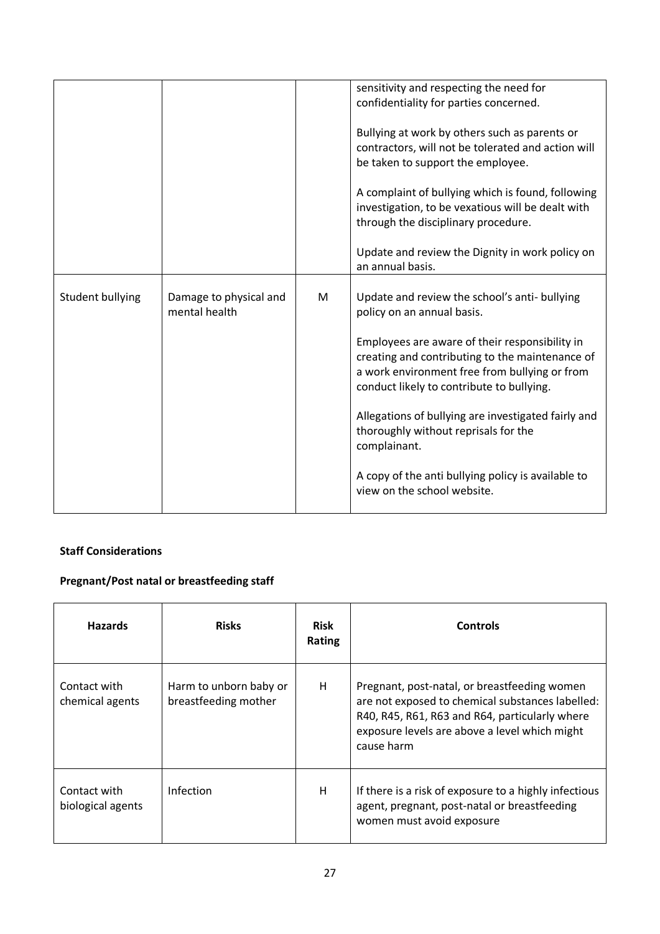|                  |                        |   | sensitivity and respecting the need for             |
|------------------|------------------------|---|-----------------------------------------------------|
|                  |                        |   | confidentiality for parties concerned.              |
|                  |                        |   |                                                     |
|                  |                        |   |                                                     |
|                  |                        |   | Bullying at work by others such as parents or       |
|                  |                        |   | contractors, will not be tolerated and action will  |
|                  |                        |   | be taken to support the employee.                   |
|                  |                        |   |                                                     |
|                  |                        |   |                                                     |
|                  |                        |   | A complaint of bullying which is found, following   |
|                  |                        |   | investigation, to be vexatious will be dealt with   |
|                  |                        |   | through the disciplinary procedure.                 |
|                  |                        |   |                                                     |
|                  |                        |   |                                                     |
|                  |                        |   | Update and review the Dignity in work policy on     |
|                  |                        |   | an annual basis.                                    |
|                  |                        |   |                                                     |
|                  |                        |   |                                                     |
| Student bullying | Damage to physical and | M | Update and review the school's anti- bullying       |
|                  | mental health          |   | policy on an annual basis.                          |
|                  |                        |   |                                                     |
|                  |                        |   |                                                     |
|                  |                        |   |                                                     |
|                  |                        |   | Employees are aware of their responsibility in      |
|                  |                        |   |                                                     |
|                  |                        |   | creating and contributing to the maintenance of     |
|                  |                        |   | a work environment free from bullying or from       |
|                  |                        |   | conduct likely to contribute to bullying.           |
|                  |                        |   |                                                     |
|                  |                        |   |                                                     |
|                  |                        |   | Allegations of bullying are investigated fairly and |
|                  |                        |   | thoroughly without reprisals for the                |
|                  |                        |   | complainant.                                        |
|                  |                        |   |                                                     |
|                  |                        |   |                                                     |
|                  |                        |   | A copy of the anti bullying policy is available to  |
|                  |                        |   | view on the school website.                         |

## **Staff Considerations**

# **Pregnant/Post natal or breastfeeding staff**

| <b>Hazards</b>                    | <b>Risks</b>                                   | <b>Risk</b><br><b>Rating</b> | <b>Controls</b>                                                                                                                                                                                                   |
|-----------------------------------|------------------------------------------------|------------------------------|-------------------------------------------------------------------------------------------------------------------------------------------------------------------------------------------------------------------|
| Contact with<br>chemical agents   | Harm to unborn baby or<br>breastfeeding mother | Н                            | Pregnant, post-natal, or breastfeeding women<br>are not exposed to chemical substances labelled:<br>R40, R45, R61, R63 and R64, particularly where<br>exposure levels are above a level which might<br>cause harm |
| Contact with<br>biological agents | Infection                                      | Н                            | If there is a risk of exposure to a highly infectious<br>agent, pregnant, post-natal or breastfeeding<br>women must avoid exposure                                                                                |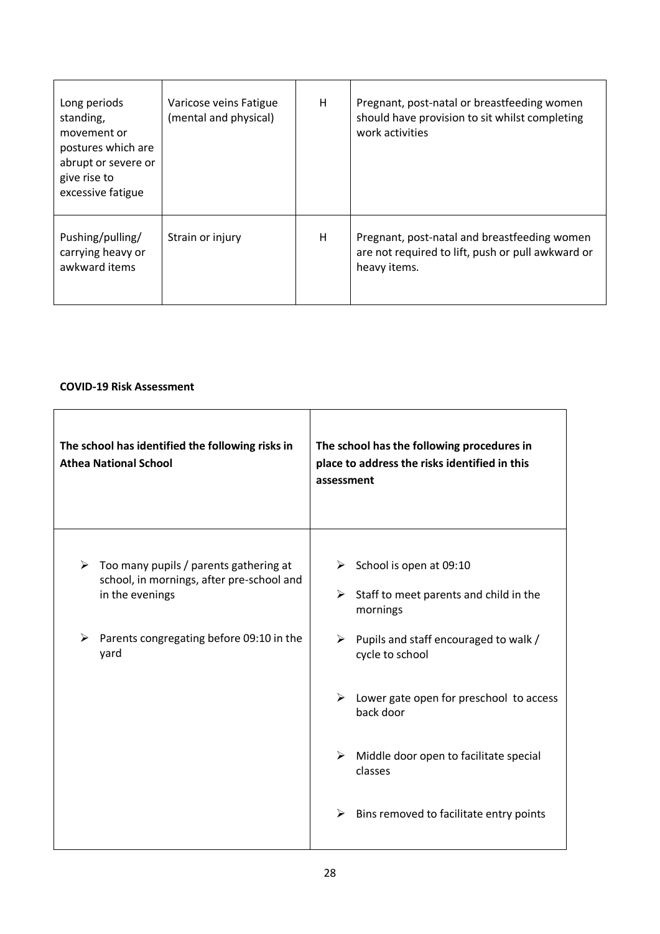| Long periods<br>standing,<br>movement or<br>postures which are<br>abrupt or severe or<br>give rise to<br>excessive fatigue | Varicose veins Fatigue<br>(mental and physical) | H | Pregnant, post-natal or breastfeeding women<br>should have provision to sit whilst completing<br>work activities  |
|----------------------------------------------------------------------------------------------------------------------------|-------------------------------------------------|---|-------------------------------------------------------------------------------------------------------------------|
| Pushing/pulling/<br>carrying heavy or<br>awkward items                                                                     | Strain or injury                                | H | Pregnant, post-natal and breastfeeding women<br>are not required to lift, push or pull awkward or<br>heavy items. |

## **COVID-19 Risk Assessment**

| The school has identified the following risks in<br><b>Athea National School</b>                                                                                     | The school has the following procedures in<br>place to address the risks identified in this<br>assessment                                                                                                             |
|----------------------------------------------------------------------------------------------------------------------------------------------------------------------|-----------------------------------------------------------------------------------------------------------------------------------------------------------------------------------------------------------------------|
| Too many pupils / parents gathering at<br>➤<br>school, in mornings, after pre-school and<br>in the evenings<br>Parents congregating before 09:10 in the<br>➤<br>yard | School is open at 09:10<br>➤<br>Staff to meet parents and child in the<br>➤<br>mornings<br>Pupils and staff encouraged to walk /<br>➤<br>cycle to school<br>Lower gate open for preschool to access<br>➤<br>back door |
|                                                                                                                                                                      | Middle door open to facilitate special<br>➤<br>classes<br>Bins removed to facilitate entry points<br>➤                                                                                                                |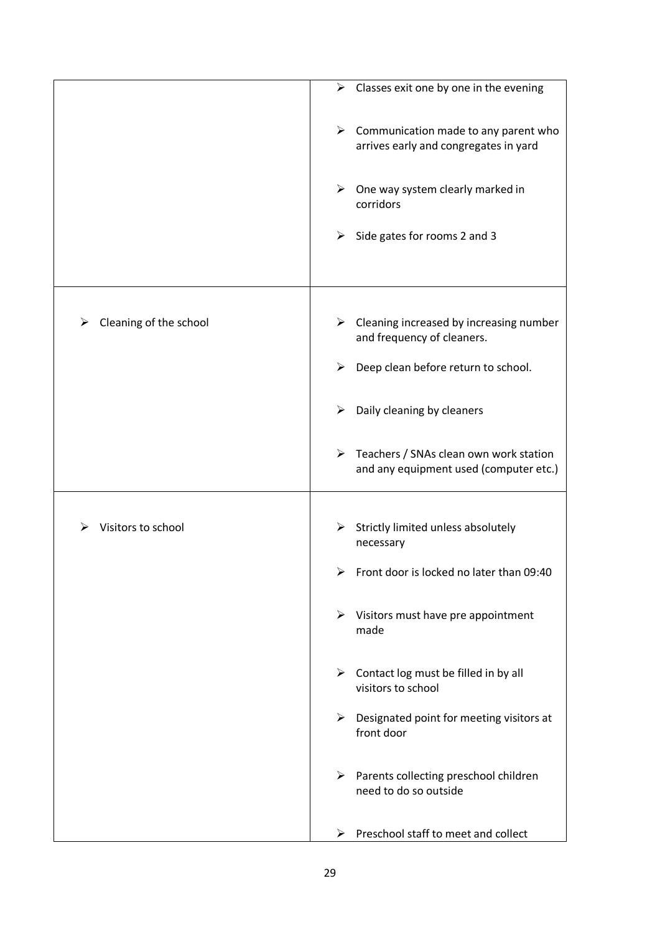|                             | Classes exit one by one in the evening<br>➤                                                       |
|-----------------------------|---------------------------------------------------------------------------------------------------|
|                             | $\triangleright$ Communication made to any parent who<br>arrives early and congregates in yard    |
|                             | $\triangleright$ One way system clearly marked in<br>corridors                                    |
|                             | Side gates for rooms 2 and 3<br>➤                                                                 |
|                             |                                                                                                   |
| Cleaning of the school<br>➤ | ➤<br>Cleaning increased by increasing number<br>and frequency of cleaners.                        |
|                             | Deep clean before return to school.<br>➤                                                          |
|                             | Daily cleaning by cleaners<br>➤                                                                   |
|                             | $\triangleright$ Teachers / SNAs clean own work station<br>and any equipment used (computer etc.) |
|                             |                                                                                                   |
| Visitors to school          | $\triangleright$ Strictly limited unless absolutely<br>necessary                                  |
|                             | Front door is locked no later than 09:40                                                          |
|                             | $\triangleright$ Visitors must have pre appointment<br>made                                       |
|                             | $\triangleright$ Contact log must be filled in by all<br>visitors to school                       |
|                             | $\blacktriangleright$<br>Designated point for meeting visitors at<br>front door                   |
|                             | $\triangleright$ Parents collecting preschool children<br>need to do so outside                   |
|                             | Preschool staff to meet and collect<br>➤                                                          |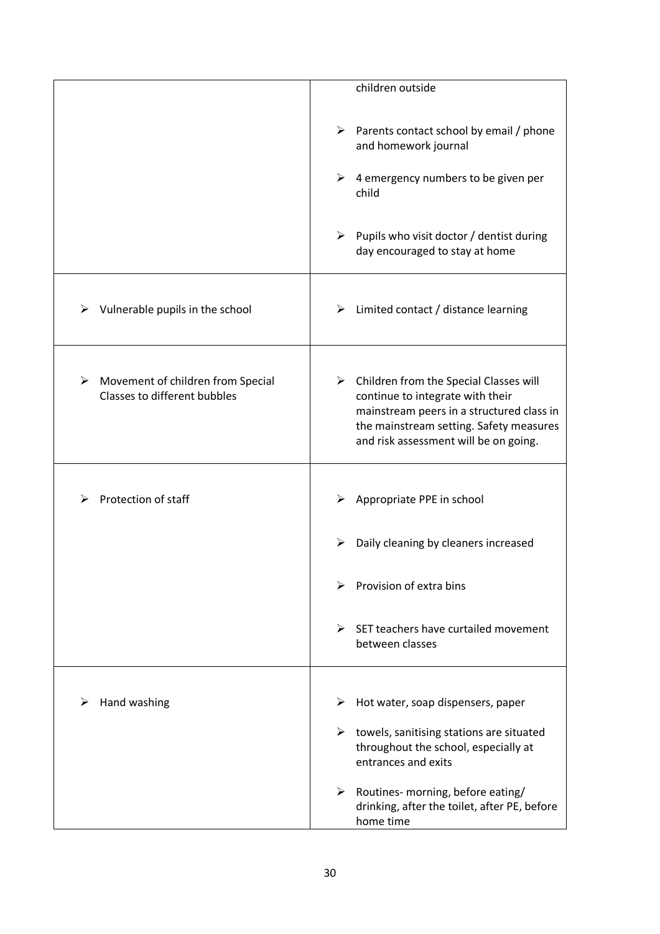|                                                                        | children outside                                                                                                                                                                                                             |
|------------------------------------------------------------------------|------------------------------------------------------------------------------------------------------------------------------------------------------------------------------------------------------------------------------|
|                                                                        | $\triangleright$ Parents contact school by email / phone<br>and homework journal                                                                                                                                             |
|                                                                        | 4 emergency numbers to be given per<br>➤<br>child                                                                                                                                                                            |
|                                                                        | Pupils who visit doctor / dentist during<br>➤<br>day encouraged to stay at home                                                                                                                                              |
| Vulnerable pupils in the school<br>➤                                   | $\triangleright$ Limited contact / distance learning                                                                                                                                                                         |
| Movement of children from Special<br>➤<br>Classes to different bubbles | $\triangleright$ Children from the Special Classes will<br>continue to integrate with their<br>mainstream peers in a structured class in<br>the mainstream setting. Safety measures<br>and risk assessment will be on going. |
| Protection of staff                                                    | Appropriate PPE in school                                                                                                                                                                                                    |
|                                                                        | Daily cleaning by cleaners increased<br>➤                                                                                                                                                                                    |
|                                                                        | Provision of extra bins<br>⋗                                                                                                                                                                                                 |
|                                                                        | SET teachers have curtailed movement<br>$\blacktriangleright$<br>between classes                                                                                                                                             |
|                                                                        |                                                                                                                                                                                                                              |
| Hand washing<br>⋗                                                      | Hot water, soap dispensers, paper<br>➤                                                                                                                                                                                       |
|                                                                        | ➤<br>towels, sanitising stations are situated<br>throughout the school, especially at<br>entrances and exits                                                                                                                 |
|                                                                        | Routines- morning, before eating/<br>➤<br>drinking, after the toilet, after PE, before<br>home time                                                                                                                          |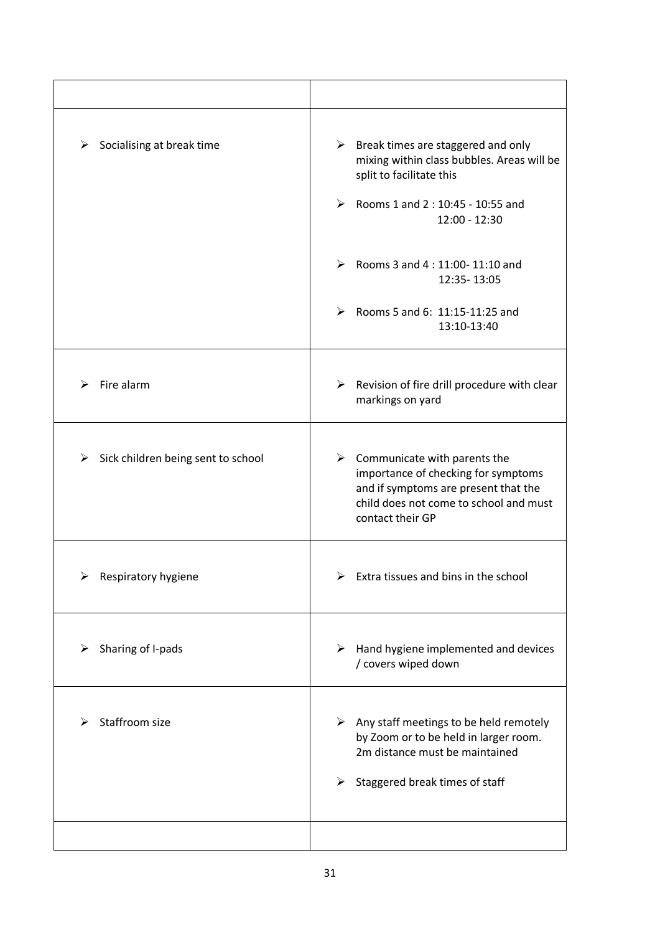| Socialising at break time<br>➤          | $\triangleright$ Break times are staggered and only<br>mixing within class bubbles. Areas will be<br>split to facilitate this<br>$\blacktriangleright$<br>Rooms 1 and 2 : 10:45 - 10:55 and<br>12:00 - 12:30 |
|-----------------------------------------|--------------------------------------------------------------------------------------------------------------------------------------------------------------------------------------------------------------|
|                                         | ≻<br>Rooms 3 and 4:11:00-11:10 and<br>12:35-13:05<br>Rooms 5 and 6: $11:15-11:25$ and<br>13:10-13:40                                                                                                         |
| Fire alarm<br>⋗                         | $\triangleright$ Revision of fire drill procedure with clear<br>markings on yard                                                                                                                             |
| Sick children being sent to school<br>➤ | $\triangleright$ Communicate with parents the<br>importance of checking for symptoms<br>and if symptoms are present that the<br>child does not come to school and must<br>contact their GP                   |
| Respiratory hygiene                     | Extra tissues and bins in the school                                                                                                                                                                         |
| Sharing of I-pads<br>➤                  | Hand hygiene implemented and devices<br>➤<br>/ covers wiped down                                                                                                                                             |
| Staffroom size                          | Any staff meetings to be held remotely<br>➤<br>by Zoom or to be held in larger room.<br>2m distance must be maintained<br>Staggered break times of staff<br>➤                                                |
|                                         |                                                                                                                                                                                                              |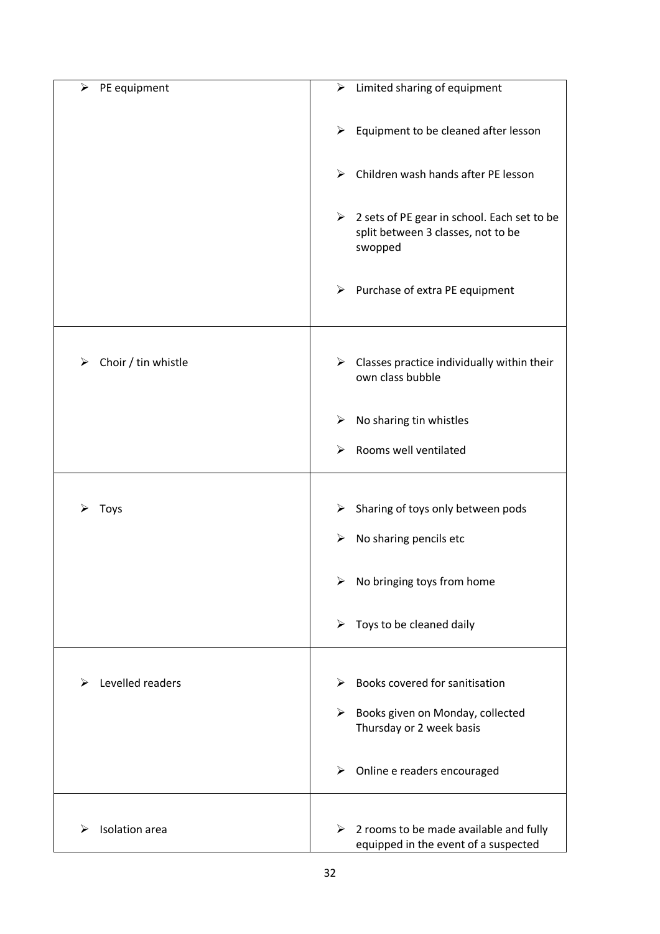| ➤<br>PE equipment        | $\triangleright$ Limited sharing of equipment                                                                 |
|--------------------------|---------------------------------------------------------------------------------------------------------------|
|                          | $\blacktriangleright$<br>Equipment to be cleaned after lesson                                                 |
|                          | Children wash hands after PE lesson<br>$\blacktriangleright$                                                  |
|                          | $\triangleright$ 2 sets of PE gear in school. Each set to be<br>split between 3 classes, not to be<br>swopped |
|                          | $\triangleright$ Purchase of extra PE equipment                                                               |
| Choir / tin whistle<br>⋗ | $\triangleright$ Classes practice individually within their<br>own class bubble                               |
|                          | No sharing tin whistles<br>➤                                                                                  |
|                          | Rooms well ventilated<br>➤                                                                                    |
|                          |                                                                                                               |
| <b>Toys</b>              | Sharing of toys only between pods<br>≻                                                                        |
|                          | No sharing pencils etc<br>➤                                                                                   |
|                          | No bringing toys from home<br>➤                                                                               |
|                          | $\blacktriangleright$<br>Toys to be cleaned daily                                                             |
| Levelled readers<br>⋗    | Books covered for sanitisation<br>⋗                                                                           |
|                          | ➤<br>Books given on Monday, collected                                                                         |
|                          | Thursday or 2 week basis                                                                                      |
|                          | $\triangleright$ Online e readers encouraged                                                                  |
|                          |                                                                                                               |
| <b>Isolation</b> area    | $\blacktriangleright$<br>2 rooms to be made available and fully<br>equipped in the event of a suspected       |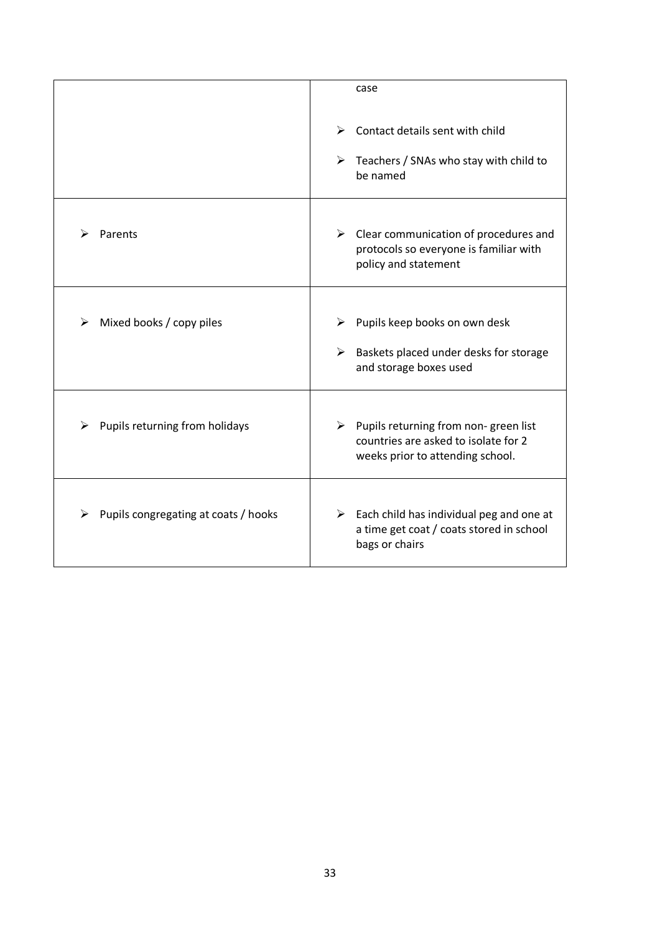|                                      | case                                                                                                                     |
|--------------------------------------|--------------------------------------------------------------------------------------------------------------------------|
|                                      | Contact details sent with child<br>➤<br>$\triangleright$ Teachers / SNAs who stay with child to<br>be named              |
| Parents                              | $\triangleright$ Clear communication of procedures and<br>protocols so everyone is familiar with<br>policy and statement |
| Mixed books / copy piles<br>⋗        | Pupils keep books on own desk<br>⋗<br>➤<br>Baskets placed under desks for storage<br>and storage boxes used              |
| Pupils returning from holidays       | Pupils returning from non-green list<br>➤<br>countries are asked to isolate for 2<br>weeks prior to attending school.    |
| Pupils congregating at coats / hooks | $\triangleright$ Each child has individual peg and one at<br>a time get coat / coats stored in school<br>bags or chairs  |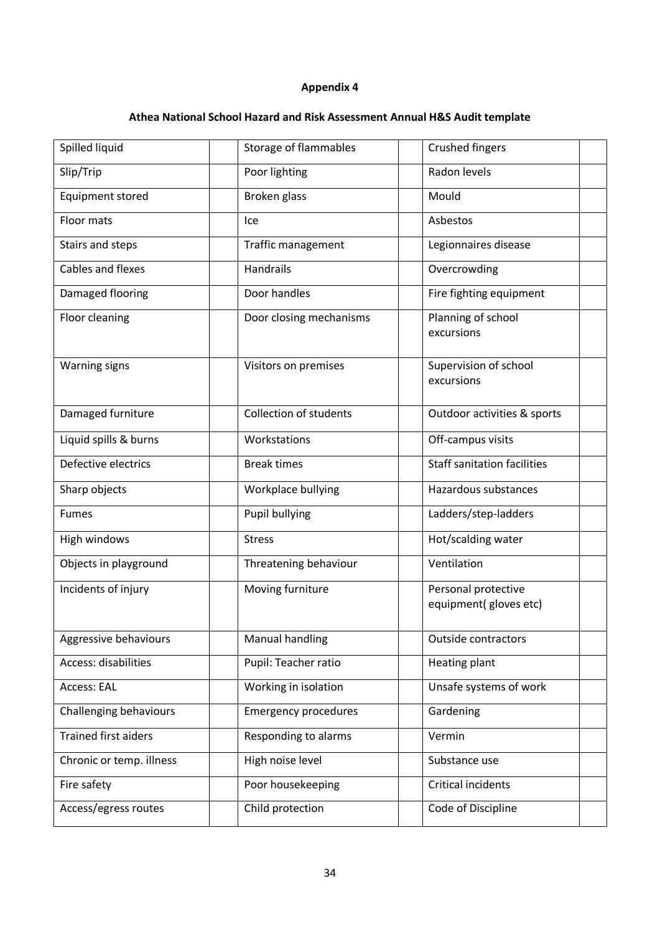# **Athea National School Hazard and Risk Assessment Annual H&S Audit template**

| Spilled liquid                | Storage of flammables         | <b>Crushed fingers</b>                        |
|-------------------------------|-------------------------------|-----------------------------------------------|
| Slip/Trip                     | Poor lighting                 | Radon levels                                  |
| <b>Equipment stored</b>       | Broken glass                  | Mould                                         |
| Floor mats                    | Ice                           | Asbestos                                      |
| Stairs and steps              | <b>Traffic management</b>     | Legionnaires disease                          |
| Cables and flexes             | Handrails                     | Overcrowding                                  |
| Damaged flooring              | Door handles                  | Fire fighting equipment                       |
| Floor cleaning                | Door closing mechanisms       | Planning of school<br>excursions              |
| <b>Warning signs</b>          | Visitors on premises          | Supervision of school<br>excursions           |
| Damaged furniture             | <b>Collection of students</b> | Outdoor activities & sports                   |
| Liquid spills & burns         | Workstations                  | Off-campus visits                             |
| Defective electrics           | <b>Break times</b>            | <b>Staff sanitation facilities</b>            |
| Sharp objects                 | Workplace bullying            | Hazardous substances                          |
| <b>Fumes</b>                  | Pupil bullying                | Ladders/step-ladders                          |
| High windows                  | <b>Stress</b>                 | Hot/scalding water                            |
| Objects in playground         | Threatening behaviour         | Ventilation                                   |
| Incidents of injury           | Moving furniture              | Personal protective<br>equipment( gloves etc) |
| Aggressive behaviours         | Manual handling               | <b>Outside contractors</b>                    |
| Access: disabilities          | Pupil: Teacher ratio          | Heating plant                                 |
| Access: EAL                   | Working in isolation          | Unsafe systems of work                        |
| <b>Challenging behaviours</b> | <b>Emergency procedures</b>   | Gardening                                     |
| <b>Trained first aiders</b>   | Responding to alarms          | Vermin                                        |
| Chronic or temp. illness      | High noise level              | Substance use                                 |
| Fire safety                   | Poor housekeeping             | Critical incidents                            |
| Access/egress routes          | Child protection              | Code of Discipline                            |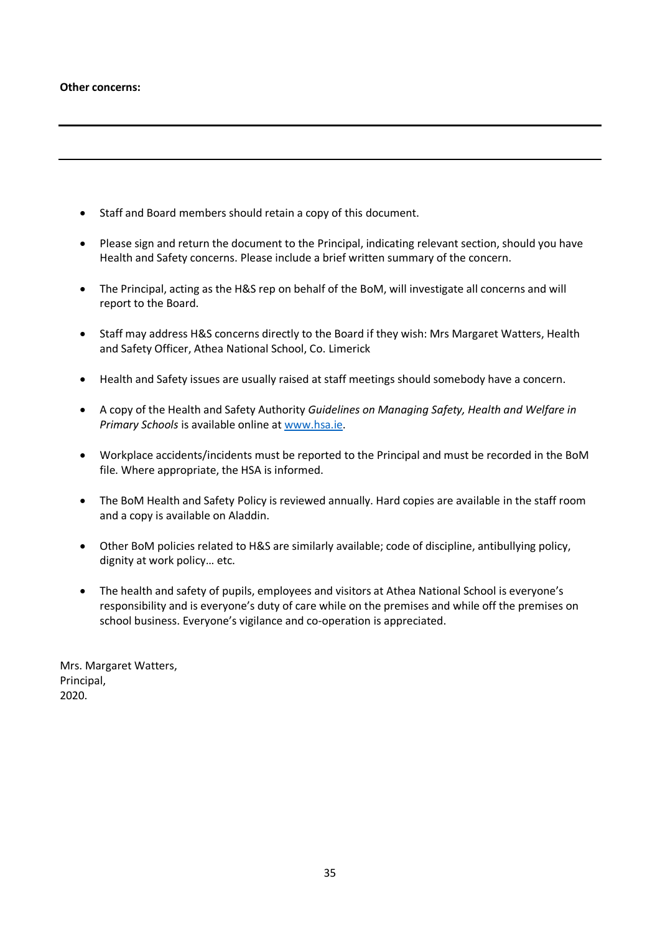#### **Other concerns:**

- Staff and Board members should retain a copy of this document.
- Please sign and return the document to the Principal, indicating relevant section, should you have Health and Safety concerns. Please include a brief written summary of the concern.
- The Principal, acting as the H&S rep on behalf of the BoM, will investigate all concerns and will report to the Board.
- Staff may address H&S concerns directly to the Board if they wish: Mrs Margaret Watters, Health and Safety Officer, Athea National School, Co. Limerick
- Health and Safety issues are usually raised at staff meetings should somebody have a concern.
- A copy of the Health and Safety Authority *Guidelines on Managing Safety, Health and Welfare in Primary Schools* is available online a[t www.hsa.ie.](http://www.hsa.ie/)
- Workplace accidents/incidents must be reported to the Principal and must be recorded in the BoM file. Where appropriate, the HSA is informed.
- The BoM Health and Safety Policy is reviewed annually. Hard copies are available in the staff room and a copy is available on Aladdin.
- Other BoM policies related to H&S are similarly available; code of discipline, antibullying policy, dignity at work policy… etc.
- The health and safety of pupils, employees and visitors at Athea National School is everyone's responsibility and is everyone's duty of care while on the premises and while off the premises on school business. Everyone's vigilance and co-operation is appreciated.

Mrs. Margaret Watters, Principal, 2020.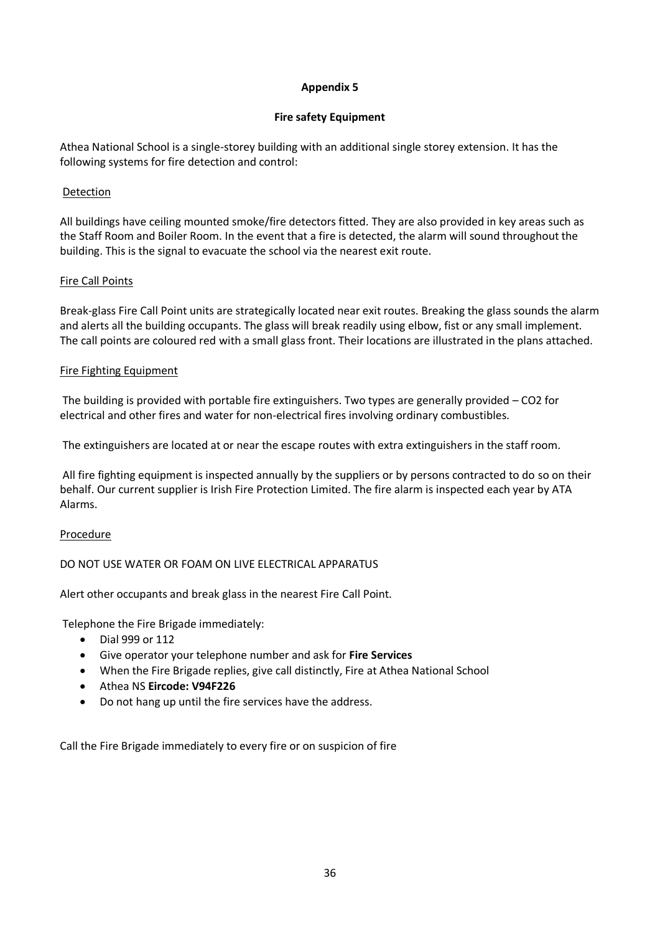## **Fire safety Equipment**

Athea National School is a single-storey building with an additional single storey extension. It has the following systems for fire detection and control:

## Detection

All buildings have ceiling mounted smoke/fire detectors fitted. They are also provided in key areas such as the Staff Room and Boiler Room. In the event that a fire is detected, the alarm will sound throughout the building. This is the signal to evacuate the school via the nearest exit route.

## Fire Call Points

Break-glass Fire Call Point units are strategically located near exit routes. Breaking the glass sounds the alarm and alerts all the building occupants. The glass will break readily using elbow, fist or any small implement. The call points are coloured red with a small glass front. Their locations are illustrated in the plans attached.

## Fire Fighting Equipment

The building is provided with portable fire extinguishers. Two types are generally provided – CO2 for electrical and other fires and water for non-electrical fires involving ordinary combustibles.

The extinguishers are located at or near the escape routes with extra extinguishers in the staff room.

All fire fighting equipment is inspected annually by the suppliers or by persons contracted to do so on their behalf. Our current supplier is Irish Fire Protection Limited. The fire alarm is inspected each year by ATA Alarms.

## Procedure

## DO NOT USE WATER OR FOAM ON LIVE ELECTRICAL APPARATUS

Alert other occupants and break glass in the nearest Fire Call Point.

Telephone the Fire Brigade immediately:

- Dial 999 or 112
- Give operator your telephone number and ask for **Fire Services**
- When the Fire Brigade replies, give call distinctly, Fire at Athea National School
- Athea NS **Eircode: V94F226**
- Do not hang up until the fire services have the address.

Call the Fire Brigade immediately to every fire or on suspicion of fire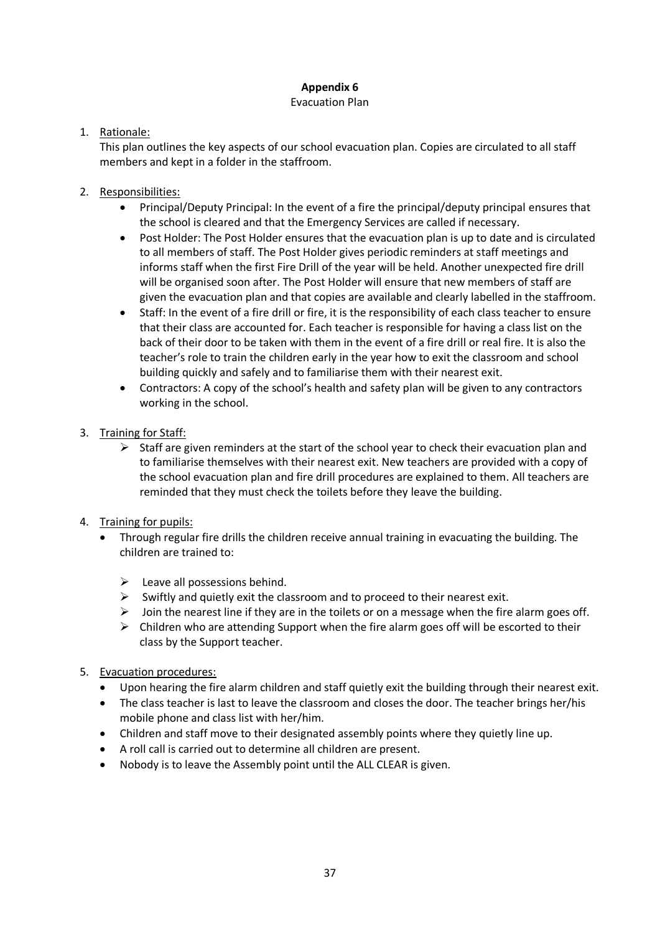## Evacuation Plan

## 1. Rationale:

This plan outlines the key aspects of our school evacuation plan. Copies are circulated to all staff members and kept in a folder in the staffroom.

## 2. Responsibilities:

- Principal/Deputy Principal: In the event of a fire the principal/deputy principal ensures that the school is cleared and that the Emergency Services are called if necessary.
- Post Holder: The Post Holder ensures that the evacuation plan is up to date and is circulated to all members of staff. The Post Holder gives periodic reminders at staff meetings and informs staff when the first Fire Drill of the year will be held. Another unexpected fire drill will be organised soon after. The Post Holder will ensure that new members of staff are given the evacuation plan and that copies are available and clearly labelled in the staffroom.
- Staff: In the event of a fire drill or fire, it is the responsibility of each class teacher to ensure that their class are accounted for. Each teacher is responsible for having a class list on the back of their door to be taken with them in the event of a fire drill or real fire. It is also the teacher's role to train the children early in the year how to exit the classroom and school building quickly and safely and to familiarise them with their nearest exit.
- Contractors: A copy of the school's health and safety plan will be given to any contractors working in the school.
- 3. Training for Staff:
	- $\triangleright$  Staff are given reminders at the start of the school year to check their evacuation plan and to familiarise themselves with their nearest exit. New teachers are provided with a copy of the school evacuation plan and fire drill procedures are explained to them. All teachers are reminded that they must check the toilets before they leave the building.
- 4. Training for pupils:
	- Through regular fire drills the children receive annual training in evacuating the building. The children are trained to:
		- $\triangleright$  Leave all possessions behind.
		- $\triangleright$  Swiftly and quietly exit the classroom and to proceed to their nearest exit.
		- $\triangleright$  Join the nearest line if they are in the toilets or on a message when the fire alarm goes off.
		- $\triangleright$  Children who are attending Support when the fire alarm goes off will be escorted to their class by the Support teacher.
- 5. Evacuation procedures:
	- Upon hearing the fire alarm children and staff quietly exit the building through their nearest exit.
	- The class teacher is last to leave the classroom and closes the door. The teacher brings her/his mobile phone and class list with her/him.
	- Children and staff move to their designated assembly points where they quietly line up.
	- A roll call is carried out to determine all children are present.
	- Nobody is to leave the Assembly point until the ALL CLEAR is given.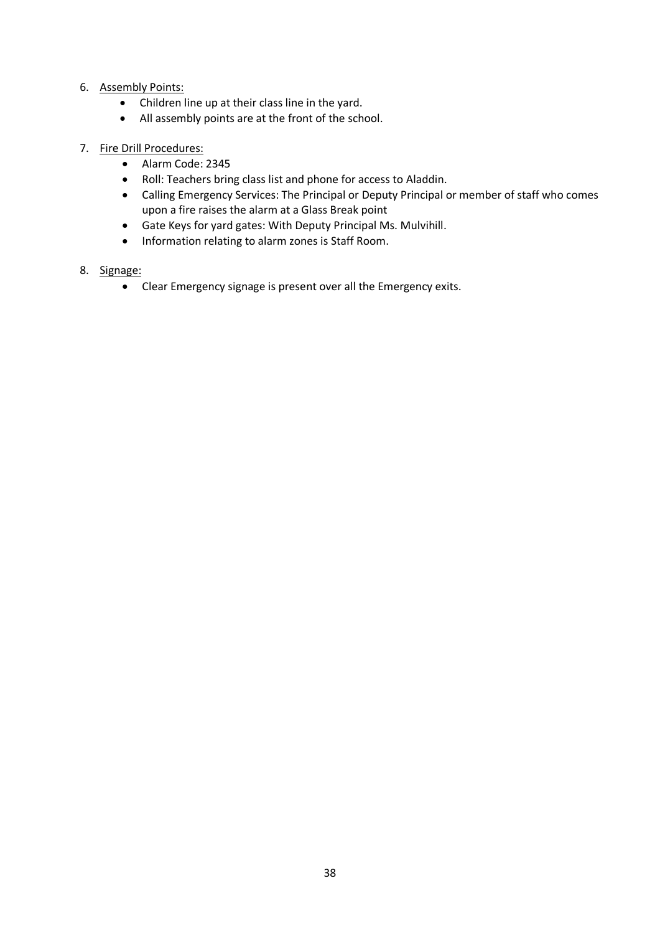## 6. Assembly Points:

- Children line up at their class line in the yard.
- All assembly points are at the front of the school.

## 7. Fire Drill Procedures:

- Alarm Code: 2345
- Roll: Teachers bring class list and phone for access to Aladdin.
- Calling Emergency Services: The Principal or Deputy Principal or member of staff who comes upon a fire raises the alarm at a Glass Break point
- Gate Keys for yard gates: With Deputy Principal Ms. Mulvihill.
- Information relating to alarm zones is Staff Room.

## 8. Signage:

Clear Emergency signage is present over all the Emergency exits.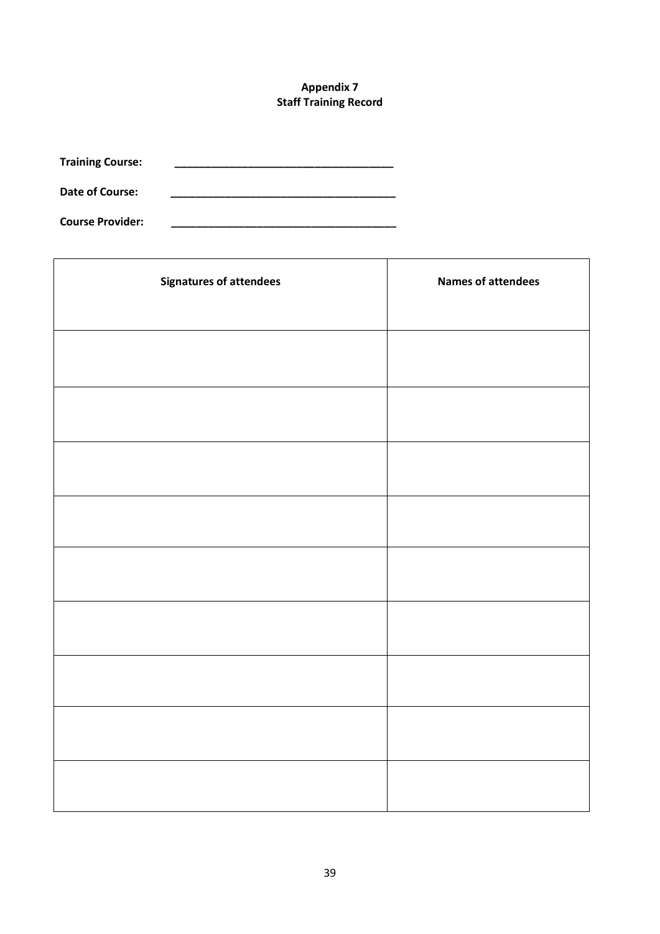## **Appendix 7 Staff Training Record**

**Training Course: \_\_\_\_\_\_\_\_\_\_\_\_\_\_\_\_\_\_\_\_\_\_\_\_\_\_\_\_\_\_\_\_\_\_\_\_**

Date of Course:

**Course Provider: \_\_\_\_\_\_\_\_\_\_\_\_\_\_\_\_\_\_\_\_\_\_\_\_\_\_\_\_\_\_\_\_\_\_\_\_\_**

| <b>Signatures of attendees</b> | <b>Names of attendees</b> |
|--------------------------------|---------------------------|
|                                |                           |
|                                |                           |
|                                |                           |
|                                |                           |
|                                |                           |
|                                |                           |
|                                |                           |
|                                |                           |
|                                |                           |